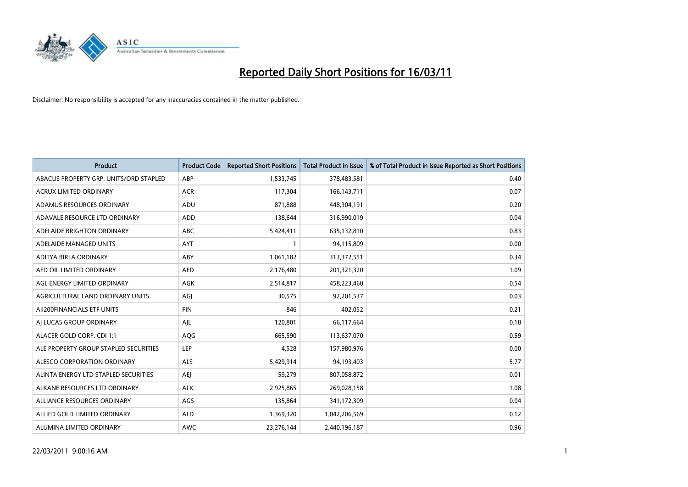

| <b>Product</b>                         | <b>Product Code</b> | <b>Reported Short Positions</b> | <b>Total Product in Issue</b> | % of Total Product in Issue Reported as Short Positions |
|----------------------------------------|---------------------|---------------------------------|-------------------------------|---------------------------------------------------------|
| ABACUS PROPERTY GRP. UNITS/ORD STAPLED | ABP                 | 1,533,745                       | 378,483,581                   | 0.40                                                    |
| ACRUX LIMITED ORDINARY                 | <b>ACR</b>          | 117,304                         | 166, 143, 711                 | 0.07                                                    |
| ADAMUS RESOURCES ORDINARY              | ADU                 | 871,888                         | 448,304,191                   | 0.20                                                    |
| ADAVALE RESOURCE LTD ORDINARY          | <b>ADD</b>          | 138,644                         | 316,990,019                   | 0.04                                                    |
| ADELAIDE BRIGHTON ORDINARY             | <b>ABC</b>          | 5,424,411                       | 635,132,810                   | 0.83                                                    |
| ADELAIDE MANAGED UNITS                 | <b>AYT</b>          |                                 | 94,115,809                    | 0.00                                                    |
| ADITYA BIRLA ORDINARY                  | ABY                 | 1,061,182                       | 313,372,551                   | 0.34                                                    |
| AED OIL LIMITED ORDINARY               | <b>AED</b>          | 2,176,480                       | 201,321,320                   | 1.09                                                    |
| AGL ENERGY LIMITED ORDINARY            | AGK                 | 2,514,817                       | 458,223,460                   | 0.54                                                    |
| AGRICULTURAL LAND ORDINARY UNITS       | AGJ                 | 30,575                          | 92,201,537                    | 0.03                                                    |
| AII200FINANCIALS ETF UNITS             | <b>FIN</b>          | 846                             | 402,052                       | 0.21                                                    |
| AI LUCAS GROUP ORDINARY                | AJL                 | 120,801                         | 66,117,664                    | 0.18                                                    |
| ALACER GOLD CORP. CDI 1:1              | AQG                 | 665,590                         | 113,637,070                   | 0.59                                                    |
| ALE PROPERTY GROUP STAPLED SECURITIES  | LEP                 | 4,528                           | 157,980,976                   | 0.00                                                    |
| ALESCO CORPORATION ORDINARY            | <b>ALS</b>          | 5,429,914                       | 94,193,403                    | 5.77                                                    |
| ALINTA ENERGY LTD STAPLED SECURITIES   | <b>AEI</b>          | 59,279                          | 807,058,872                   | 0.01                                                    |
| ALKANE RESOURCES LTD ORDINARY          | <b>ALK</b>          | 2,925,865                       | 269,028,158                   | 1.08                                                    |
| ALLIANCE RESOURCES ORDINARY            | AGS                 | 135,864                         | 341,172,309                   | 0.04                                                    |
| ALLIED GOLD LIMITED ORDINARY           | <b>ALD</b>          | 1,369,320                       | 1,042,206,569                 | 0.12                                                    |
| ALUMINA LIMITED ORDINARY               | <b>AWC</b>          | 23,276,144                      | 2,440,196,187                 | 0.96                                                    |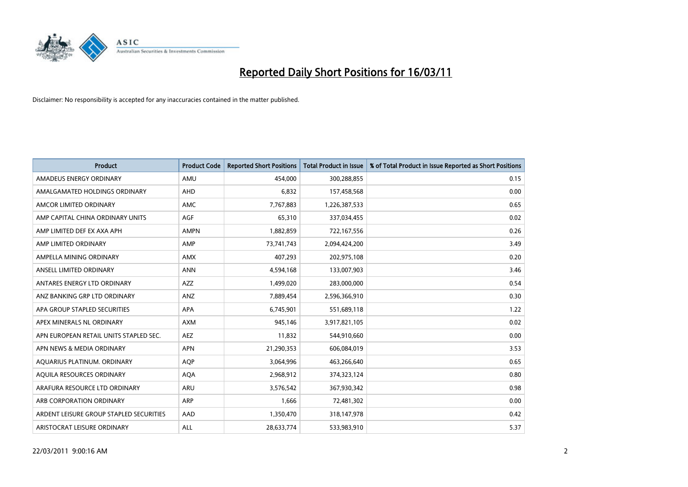

| <b>Product</b>                          | <b>Product Code</b> | <b>Reported Short Positions</b> | <b>Total Product in Issue</b> | % of Total Product in Issue Reported as Short Positions |
|-----------------------------------------|---------------------|---------------------------------|-------------------------------|---------------------------------------------------------|
| AMADEUS ENERGY ORDINARY                 | AMU                 | 454,000                         | 300,288,855                   | 0.15                                                    |
| AMALGAMATED HOLDINGS ORDINARY           | AHD                 | 6,832                           | 157,458,568                   | 0.00                                                    |
| AMCOR LIMITED ORDINARY                  | <b>AMC</b>          | 7,767,883                       | 1,226,387,533                 | 0.65                                                    |
| AMP CAPITAL CHINA ORDINARY UNITS        | <b>AGF</b>          | 65,310                          | 337,034,455                   | 0.02                                                    |
| AMP LIMITED DEF EX AXA APH              | <b>AMPN</b>         | 1,882,859                       | 722,167,556                   | 0.26                                                    |
| AMP LIMITED ORDINARY                    | AMP                 | 73,741,743                      | 2,094,424,200                 | 3.49                                                    |
| AMPELLA MINING ORDINARY                 | <b>AMX</b>          | 407,293                         | 202,975,108                   | 0.20                                                    |
| ANSELL LIMITED ORDINARY                 | <b>ANN</b>          | 4,594,168                       | 133,007,903                   | 3.46                                                    |
| ANTARES ENERGY LTD ORDINARY             | <b>AZZ</b>          | 1,499,020                       | 283,000,000                   | 0.54                                                    |
| ANZ BANKING GRP LTD ORDINARY            | ANZ                 | 7,889,454                       | 2,596,366,910                 | 0.30                                                    |
| APA GROUP STAPLED SECURITIES            | <b>APA</b>          | 6,745,901                       | 551,689,118                   | 1.22                                                    |
| APEX MINERALS NL ORDINARY               | <b>AXM</b>          | 945,146                         | 3,917,821,105                 | 0.02                                                    |
| APN EUROPEAN RETAIL UNITS STAPLED SEC.  | <b>AEZ</b>          | 11,832                          | 544,910,660                   | 0.00                                                    |
| APN NEWS & MEDIA ORDINARY               | <b>APN</b>          | 21,290,353                      | 606,084,019                   | 3.53                                                    |
| AQUARIUS PLATINUM. ORDINARY             | <b>AOP</b>          | 3,064,996                       | 463,266,640                   | 0.65                                                    |
| AQUILA RESOURCES ORDINARY               | <b>AQA</b>          | 2,968,912                       | 374,323,124                   | 0.80                                                    |
| ARAFURA RESOURCE LTD ORDINARY           | <b>ARU</b>          | 3,576,542                       | 367,930,342                   | 0.98                                                    |
| ARB CORPORATION ORDINARY                | <b>ARP</b>          | 1,666                           | 72,481,302                    | 0.00                                                    |
| ARDENT LEISURE GROUP STAPLED SECURITIES | AAD                 | 1,350,470                       | 318,147,978                   | 0.42                                                    |
| ARISTOCRAT LEISURE ORDINARY             | ALL                 | 28.633.774                      | 533,983,910                   | 5.37                                                    |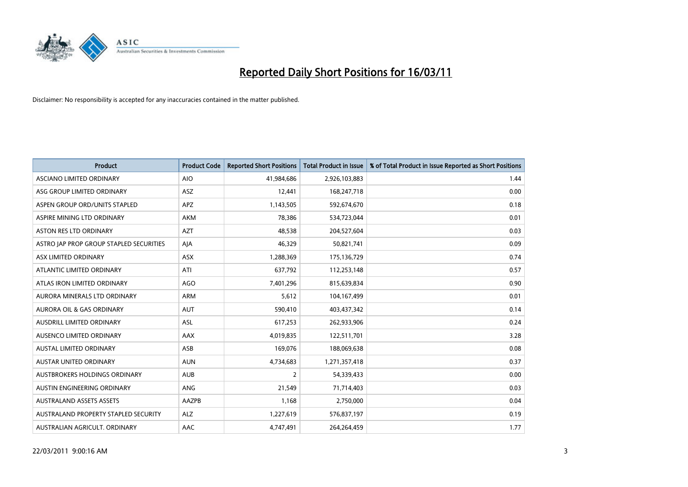

| <b>Product</b>                          | <b>Product Code</b> | <b>Reported Short Positions</b> | Total Product in Issue | % of Total Product in Issue Reported as Short Positions |
|-----------------------------------------|---------------------|---------------------------------|------------------------|---------------------------------------------------------|
| ASCIANO LIMITED ORDINARY                | <b>AIO</b>          | 41,984,686                      | 2,926,103,883          | 1.44                                                    |
| ASG GROUP LIMITED ORDINARY              | ASZ                 | 12,441                          | 168,247,718            | 0.00                                                    |
| ASPEN GROUP ORD/UNITS STAPLED           | <b>APZ</b>          | 1,143,505                       | 592,674,670            | 0.18                                                    |
| ASPIRE MINING LTD ORDINARY              | <b>AKM</b>          | 78,386                          | 534,723,044            | 0.01                                                    |
| <b>ASTON RES LTD ORDINARY</b>           | <b>AZT</b>          | 48,538                          | 204,527,604            | 0.03                                                    |
| ASTRO JAP PROP GROUP STAPLED SECURITIES | AJA                 | 46,329                          | 50,821,741             | 0.09                                                    |
| ASX LIMITED ORDINARY                    | ASX                 | 1,288,369                       | 175,136,729            | 0.74                                                    |
| ATLANTIC LIMITED ORDINARY               | ATI                 | 637,792                         | 112,253,148            | 0.57                                                    |
| ATLAS IRON LIMITED ORDINARY             | <b>AGO</b>          | 7,401,296                       | 815,639,834            | 0.90                                                    |
| AURORA MINERALS LTD ORDINARY            | <b>ARM</b>          | 5,612                           | 104,167,499            | 0.01                                                    |
| AURORA OIL & GAS ORDINARY               | <b>AUT</b>          | 590,410                         | 403,437,342            | 0.14                                                    |
| AUSDRILL LIMITED ORDINARY               | <b>ASL</b>          | 617,253                         | 262,933,906            | 0.24                                                    |
| AUSENCO LIMITED ORDINARY                | <b>AAX</b>          | 4,019,835                       | 122,511,701            | 3.28                                                    |
| AUSTAL LIMITED ORDINARY                 | ASB                 | 169,076                         | 188,069,638            | 0.08                                                    |
| <b>AUSTAR UNITED ORDINARY</b>           | <b>AUN</b>          | 4,734,683                       | 1,271,357,418          | 0.37                                                    |
| AUSTBROKERS HOLDINGS ORDINARY           | <b>AUB</b>          | 2                               | 54,339,433             | 0.00                                                    |
| AUSTIN ENGINEERING ORDINARY             | <b>ANG</b>          | 21,549                          | 71,714,403             | 0.03                                                    |
| <b>AUSTRALAND ASSETS ASSETS</b>         | AAZPB               | 1,168                           | 2,750,000              | 0.04                                                    |
| AUSTRALAND PROPERTY STAPLED SECURITY    | <b>ALZ</b>          | 1,227,619                       | 576,837,197            | 0.19                                                    |
| AUSTRALIAN AGRICULT. ORDINARY           | AAC                 | 4,747,491                       | 264,264,459            | 1.77                                                    |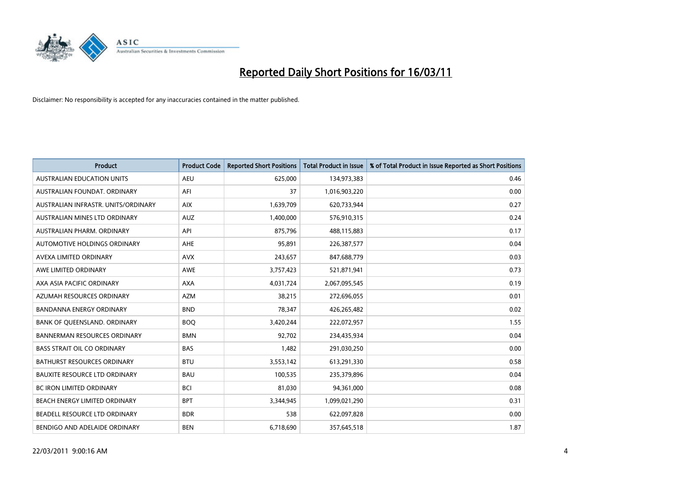

| <b>Product</b>                       | <b>Product Code</b> | <b>Reported Short Positions</b> | <b>Total Product in Issue</b> | % of Total Product in Issue Reported as Short Positions |
|--------------------------------------|---------------------|---------------------------------|-------------------------------|---------------------------------------------------------|
| <b>AUSTRALIAN EDUCATION UNITS</b>    | <b>AEU</b>          | 625,000                         | 134,973,383                   | 0.46                                                    |
| AUSTRALIAN FOUNDAT. ORDINARY         | AFI                 | 37                              | 1,016,903,220                 | 0.00                                                    |
| AUSTRALIAN INFRASTR, UNITS/ORDINARY  | <b>AIX</b>          | 1,639,709                       | 620,733,944                   | 0.27                                                    |
| AUSTRALIAN MINES LTD ORDINARY        | <b>AUZ</b>          | 1,400,000                       | 576,910,315                   | 0.24                                                    |
| AUSTRALIAN PHARM, ORDINARY           | API                 | 875,796                         | 488,115,883                   | 0.17                                                    |
| AUTOMOTIVE HOLDINGS ORDINARY         | <b>AHE</b>          | 95,891                          | 226,387,577                   | 0.04                                                    |
| AVEXA LIMITED ORDINARY               | <b>AVX</b>          | 243,657                         | 847,688,779                   | 0.03                                                    |
| AWE LIMITED ORDINARY                 | <b>AWE</b>          | 3,757,423                       | 521,871,941                   | 0.73                                                    |
| AXA ASIA PACIFIC ORDINARY            | <b>AXA</b>          | 4,031,724                       | 2,067,095,545                 | 0.19                                                    |
| AZUMAH RESOURCES ORDINARY            | <b>AZM</b>          | 38,215                          | 272,696,055                   | 0.01                                                    |
| <b>BANDANNA ENERGY ORDINARY</b>      | <b>BND</b>          | 78,347                          | 426,265,482                   | 0.02                                                    |
| BANK OF QUEENSLAND. ORDINARY         | <b>BOQ</b>          | 3,420,244                       | 222,072,957                   | 1.55                                                    |
| <b>BANNERMAN RESOURCES ORDINARY</b>  | <b>BMN</b>          | 92,702                          | 234,435,934                   | 0.04                                                    |
| <b>BASS STRAIT OIL CO ORDINARY</b>   | <b>BAS</b>          | 1,482                           | 291,030,250                   | 0.00                                                    |
| <b>BATHURST RESOURCES ORDINARY</b>   | <b>BTU</b>          | 3,553,142                       | 613,291,330                   | 0.58                                                    |
| <b>BAUXITE RESOURCE LTD ORDINARY</b> | <b>BAU</b>          | 100,535                         | 235,379,896                   | 0.04                                                    |
| <b>BC IRON LIMITED ORDINARY</b>      | <b>BCI</b>          | 81,030                          | 94,361,000                    | 0.08                                                    |
| BEACH ENERGY LIMITED ORDINARY        | <b>BPT</b>          | 3,344,945                       | 1,099,021,290                 | 0.31                                                    |
| BEADELL RESOURCE LTD ORDINARY        | <b>BDR</b>          | 538                             | 622,097,828                   | 0.00                                                    |
| BENDIGO AND ADELAIDE ORDINARY        | <b>BEN</b>          | 6,718,690                       | 357,645,518                   | 1.87                                                    |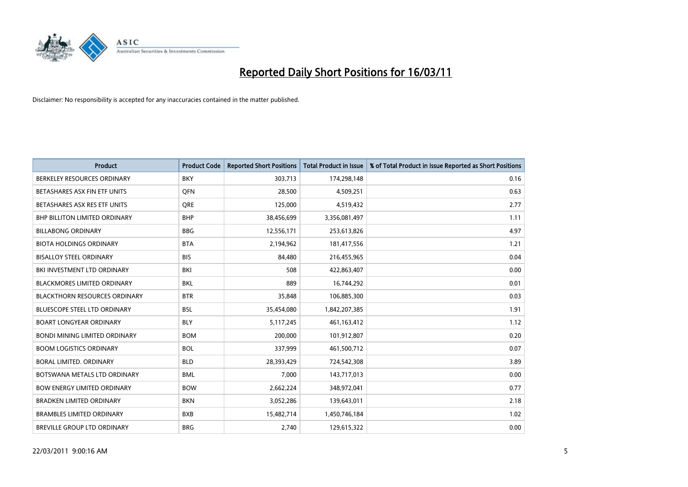

| <b>Product</b>                       | <b>Product Code</b> | <b>Reported Short Positions</b> | <b>Total Product in Issue</b> | % of Total Product in Issue Reported as Short Positions |
|--------------------------------------|---------------------|---------------------------------|-------------------------------|---------------------------------------------------------|
| BERKELEY RESOURCES ORDINARY          | <b>BKY</b>          | 303,713                         | 174,298,148                   | 0.16                                                    |
| BETASHARES ASX FIN ETF UNITS         | <b>OFN</b>          | 28,500                          | 4,509,251                     | 0.63                                                    |
| BETASHARES ASX RES ETF UNITS         | <b>ORE</b>          | 125,000                         | 4,519,432                     | 2.77                                                    |
| <b>BHP BILLITON LIMITED ORDINARY</b> | <b>BHP</b>          | 38,456,699                      | 3,356,081,497                 | 1.11                                                    |
| <b>BILLABONG ORDINARY</b>            | <b>BBG</b>          | 12,556,171                      | 253,613,826                   | 4.97                                                    |
| <b>BIOTA HOLDINGS ORDINARY</b>       | <b>BTA</b>          | 2,194,962                       | 181,417,556                   | 1.21                                                    |
| <b>BISALLOY STEEL ORDINARY</b>       | <b>BIS</b>          | 84.480                          | 216,455,965                   | 0.04                                                    |
| BKI INVESTMENT LTD ORDINARY          | <b>BKI</b>          | 508                             | 422,863,407                   | 0.00                                                    |
| BLACKMORES LIMITED ORDINARY          | <b>BKL</b>          | 889                             | 16,744,292                    | 0.01                                                    |
| <b>BLACKTHORN RESOURCES ORDINARY</b> | <b>BTR</b>          | 35,848                          | 106,885,300                   | 0.03                                                    |
| <b>BLUESCOPE STEEL LTD ORDINARY</b>  | <b>BSL</b>          | 35,454,080                      | 1,842,207,385                 | 1.91                                                    |
| <b>BOART LONGYEAR ORDINARY</b>       | <b>BLY</b>          | 5,117,245                       | 461,163,412                   | 1.12                                                    |
| <b>BONDI MINING LIMITED ORDINARY</b> | <b>BOM</b>          | 200,000                         | 101,912,807                   | 0.20                                                    |
| <b>BOOM LOGISTICS ORDINARY</b>       | <b>BOL</b>          | 337,999                         | 461,500,712                   | 0.07                                                    |
| <b>BORAL LIMITED, ORDINARY</b>       | <b>BLD</b>          | 28,393,429                      | 724,542,308                   | 3.89                                                    |
| BOTSWANA METALS LTD ORDINARY         | <b>BML</b>          | 7,000                           | 143,717,013                   | 0.00                                                    |
| <b>BOW ENERGY LIMITED ORDINARY</b>   | <b>BOW</b>          | 2,662,224                       | 348,972,041                   | 0.77                                                    |
| <b>BRADKEN LIMITED ORDINARY</b>      | <b>BKN</b>          | 3,052,286                       | 139,643,011                   | 2.18                                                    |
| <b>BRAMBLES LIMITED ORDINARY</b>     | <b>BXB</b>          | 15,482,714                      | 1,450,746,184                 | 1.02                                                    |
| <b>BREVILLE GROUP LTD ORDINARY</b>   | <b>BRG</b>          | 2.740                           | 129,615,322                   | 0.00                                                    |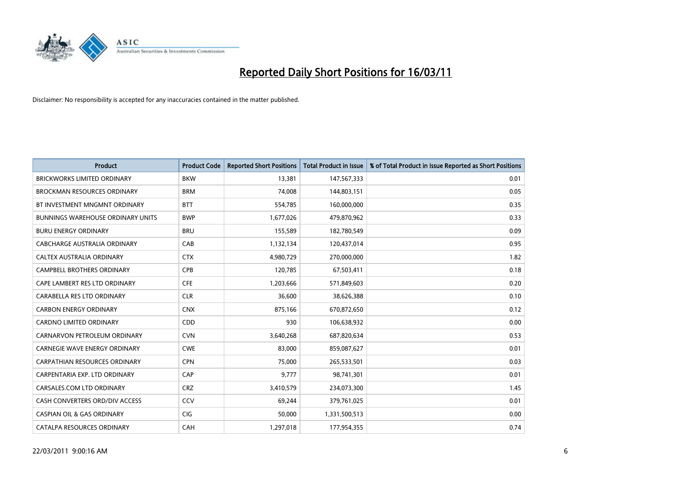

| Product                               | <b>Product Code</b> | <b>Reported Short Positions</b> | <b>Total Product in Issue</b> | % of Total Product in Issue Reported as Short Positions |
|---------------------------------------|---------------------|---------------------------------|-------------------------------|---------------------------------------------------------|
| <b>BRICKWORKS LIMITED ORDINARY</b>    | <b>BKW</b>          | 13,381                          | 147,567,333                   | 0.01                                                    |
| <b>BROCKMAN RESOURCES ORDINARY</b>    | <b>BRM</b>          | 74.008                          | 144,803,151                   | 0.05                                                    |
| BT INVESTMENT MNGMNT ORDINARY         | <b>BTT</b>          | 554,785                         | 160,000,000                   | 0.35                                                    |
| BUNNINGS WAREHOUSE ORDINARY UNITS     | <b>BWP</b>          | 1,677,026                       | 479,870,962                   | 0.33                                                    |
| <b>BURU ENERGY ORDINARY</b>           | <b>BRU</b>          | 155,589                         | 182,780,549                   | 0.09                                                    |
| CABCHARGE AUSTRALIA ORDINARY          | CAB                 | 1,132,134                       | 120,437,014                   | 0.95                                                    |
| CALTEX AUSTRALIA ORDINARY             | <b>CTX</b>          | 4,980,729                       | 270,000,000                   | 1.82                                                    |
| <b>CAMPBELL BROTHERS ORDINARY</b>     | CPB                 | 120,785                         | 67,503,411                    | 0.18                                                    |
| CAPE LAMBERT RES LTD ORDINARY         | <b>CFE</b>          | 1,203,666                       | 571,849,603                   | 0.20                                                    |
| CARABELLA RES LTD ORDINARY            | <b>CLR</b>          | 36,600                          | 38,626,388                    | 0.10                                                    |
| <b>CARBON ENERGY ORDINARY</b>         | <b>CNX</b>          | 875,166                         | 670,872,650                   | 0.12                                                    |
| <b>CARDNO LIMITED ORDINARY</b>        | CDD                 | 930                             | 106,638,932                   | 0.00                                                    |
| CARNARVON PETROLEUM ORDINARY          | <b>CVN</b>          | 3,640,268                       | 687,820,634                   | 0.53                                                    |
| <b>CARNEGIE WAVE ENERGY ORDINARY</b>  | <b>CWE</b>          | 83,000                          | 859,087,627                   | 0.01                                                    |
| <b>CARPATHIAN RESOURCES ORDINARY</b>  | <b>CPN</b>          | 75,000                          | 265,533,501                   | 0.03                                                    |
| CARPENTARIA EXP. LTD ORDINARY         | CAP                 | 9,777                           | 98,741,301                    | 0.01                                                    |
| CARSALES.COM LTD ORDINARY             | <b>CRZ</b>          | 3,410,579                       | 234,073,300                   | 1.45                                                    |
| CASH CONVERTERS ORD/DIV ACCESS        | CCV                 | 69,244                          | 379,761,025                   | 0.01                                                    |
| <b>CASPIAN OIL &amp; GAS ORDINARY</b> | <b>CIG</b>          | 50,000                          | 1,331,500,513                 | 0.00                                                    |
| CATALPA RESOURCES ORDINARY            | CAH                 | 1,297,018                       | 177,954,355                   | 0.74                                                    |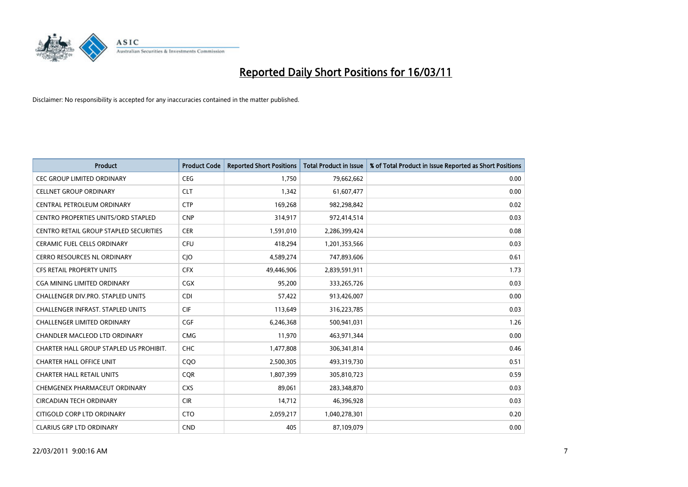

| <b>Product</b>                                | <b>Product Code</b> | <b>Reported Short Positions</b> | Total Product in Issue | % of Total Product in Issue Reported as Short Positions |
|-----------------------------------------------|---------------------|---------------------------------|------------------------|---------------------------------------------------------|
| <b>CEC GROUP LIMITED ORDINARY</b>             | <b>CEG</b>          | 1,750                           | 79,662,662             | 0.00                                                    |
| <b>CELLNET GROUP ORDINARY</b>                 | <b>CLT</b>          | 1,342                           | 61,607,477             | 0.00                                                    |
| CENTRAL PETROLEUM ORDINARY                    | <b>CTP</b>          | 169,268                         | 982,298,842            | 0.02                                                    |
| CENTRO PROPERTIES UNITS/ORD STAPLED           | <b>CNP</b>          | 314,917                         | 972,414,514            | 0.03                                                    |
| <b>CENTRO RETAIL GROUP STAPLED SECURITIES</b> | <b>CER</b>          | 1,591,010                       | 2,286,399,424          | 0.08                                                    |
| CERAMIC FUEL CELLS ORDINARY                   | <b>CFU</b>          | 418,294                         | 1,201,353,566          | 0.03                                                    |
| <b>CERRO RESOURCES NL ORDINARY</b>            | CJO                 | 4,589,274                       | 747,893,606            | 0.61                                                    |
| <b>CFS RETAIL PROPERTY UNITS</b>              | <b>CFX</b>          | 49,446,906                      | 2,839,591,911          | 1.73                                                    |
| CGA MINING LIMITED ORDINARY                   | <b>CGX</b>          | 95,200                          | 333,265,726            | 0.03                                                    |
| <b>CHALLENGER DIV.PRO. STAPLED UNITS</b>      | <b>CDI</b>          | 57,422                          | 913,426,007            | 0.00                                                    |
| <b>CHALLENGER INFRAST, STAPLED UNITS</b>      | <b>CIF</b>          | 113,649                         | 316,223,785            | 0.03                                                    |
| <b>CHALLENGER LIMITED ORDINARY</b>            | <b>CGF</b>          | 6,246,368                       | 500,941,031            | 1.26                                                    |
| <b>CHANDLER MACLEOD LTD ORDINARY</b>          | <b>CMG</b>          | 11,970                          | 463,971,344            | 0.00                                                    |
| CHARTER HALL GROUP STAPLED US PROHIBIT.       | <b>CHC</b>          | 1,477,808                       | 306,341,814            | 0.46                                                    |
| <b>CHARTER HALL OFFICE UNIT</b>               | COO                 | 2,500,305                       | 493,319,730            | 0.51                                                    |
| <b>CHARTER HALL RETAIL UNITS</b>              | <b>CQR</b>          | 1,807,399                       | 305,810,723            | 0.59                                                    |
| CHEMGENEX PHARMACEUT ORDINARY                 | <b>CXS</b>          | 89,061                          | 283,348,870            | 0.03                                                    |
| <b>CIRCADIAN TECH ORDINARY</b>                | <b>CIR</b>          | 14,712                          | 46,396,928             | 0.03                                                    |
| CITIGOLD CORP LTD ORDINARY                    | <b>CTO</b>          | 2,059,217                       | 1,040,278,301          | 0.20                                                    |
| <b>CLARIUS GRP LTD ORDINARY</b>               | <b>CND</b>          | 405                             | 87,109,079             | 0.00                                                    |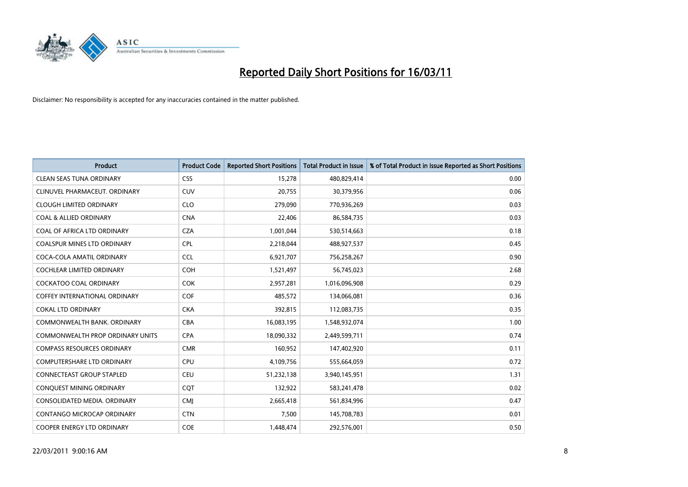

| <b>Product</b>                          | <b>Product Code</b> | <b>Reported Short Positions</b> | Total Product in Issue | % of Total Product in Issue Reported as Short Positions |
|-----------------------------------------|---------------------|---------------------------------|------------------------|---------------------------------------------------------|
| <b>CLEAN SEAS TUNA ORDINARY</b>         | <b>CSS</b>          | 15,278                          | 480,829,414            | 0.00                                                    |
| CLINUVEL PHARMACEUT, ORDINARY           | <b>CUV</b>          | 20,755                          | 30,379,956             | 0.06                                                    |
| <b>CLOUGH LIMITED ORDINARY</b>          | <b>CLO</b>          | 279,090                         | 770,936,269            | 0.03                                                    |
| <b>COAL &amp; ALLIED ORDINARY</b>       | <b>CNA</b>          | 22,406                          | 86,584,735             | 0.03                                                    |
| COAL OF AFRICA LTD ORDINARY             | <b>CZA</b>          | 1,001,044                       | 530,514,663            | 0.18                                                    |
| <b>COALSPUR MINES LTD ORDINARY</b>      | <b>CPL</b>          | 2,218,044                       | 488,927,537            | 0.45                                                    |
| COCA-COLA AMATIL ORDINARY               | <b>CCL</b>          | 6,921,707                       | 756,258,267            | 0.90                                                    |
| <b>COCHLEAR LIMITED ORDINARY</b>        | <b>COH</b>          | 1,521,497                       | 56,745,023             | 2.68                                                    |
| <b>COCKATOO COAL ORDINARY</b>           | <b>COK</b>          | 2,957,281                       | 1,016,096,908          | 0.29                                                    |
| <b>COFFEY INTERNATIONAL ORDINARY</b>    | <b>COF</b>          | 485,572                         | 134,066,081            | 0.36                                                    |
| <b>COKAL LTD ORDINARY</b>               | <b>CKA</b>          | 392,815                         | 112,083,735            | 0.35                                                    |
| COMMONWEALTH BANK, ORDINARY             | <b>CBA</b>          | 16,083,195                      | 1,548,932,074          | 1.00                                                    |
| <b>COMMONWEALTH PROP ORDINARY UNITS</b> | <b>CPA</b>          | 18,090,332                      | 2,449,599,711          | 0.74                                                    |
| <b>COMPASS RESOURCES ORDINARY</b>       | <b>CMR</b>          | 160.952                         | 147,402,920            | 0.11                                                    |
| <b>COMPUTERSHARE LTD ORDINARY</b>       | <b>CPU</b>          | 4,109,756                       | 555,664,059            | 0.72                                                    |
| <b>CONNECTEAST GROUP STAPLED</b>        | <b>CEU</b>          | 51,232,138                      | 3,940,145,951          | 1.31                                                    |
| CONQUEST MINING ORDINARY                | CQT                 | 132,922                         | 583,241,478            | 0.02                                                    |
| CONSOLIDATED MEDIA. ORDINARY            | <b>CMI</b>          | 2,665,418                       | 561,834,996            | 0.47                                                    |
| CONTANGO MICROCAP ORDINARY              | <b>CTN</b>          | 7,500                           | 145,708,783            | 0.01                                                    |
| <b>COOPER ENERGY LTD ORDINARY</b>       | <b>COE</b>          | 1.448.474                       | 292,576,001            | 0.50                                                    |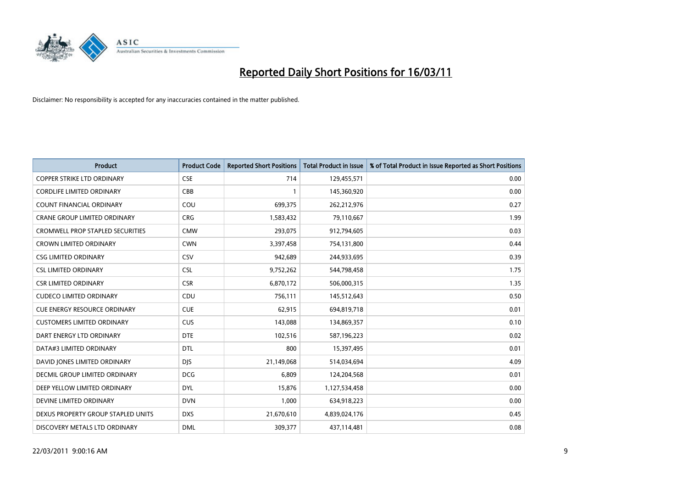

| <b>Product</b>                          | <b>Product Code</b> | <b>Reported Short Positions</b> | <b>Total Product in Issue</b> | % of Total Product in Issue Reported as Short Positions |
|-----------------------------------------|---------------------|---------------------------------|-------------------------------|---------------------------------------------------------|
| <b>COPPER STRIKE LTD ORDINARY</b>       | <b>CSE</b>          | 714                             | 129,455,571                   | 0.00                                                    |
| <b>CORDLIFE LIMITED ORDINARY</b>        | CBB                 |                                 | 145,360,920                   | 0.00                                                    |
| <b>COUNT FINANCIAL ORDINARY</b>         | COU                 | 699,375                         | 262,212,976                   | 0.27                                                    |
| CRANE GROUP LIMITED ORDINARY            | <b>CRG</b>          | 1,583,432                       | 79,110,667                    | 1.99                                                    |
| <b>CROMWELL PROP STAPLED SECURITIES</b> | <b>CMW</b>          | 293,075                         | 912,794,605                   | 0.03                                                    |
| <b>CROWN LIMITED ORDINARY</b>           | <b>CWN</b>          | 3,397,458                       | 754,131,800                   | 0.44                                                    |
| <b>CSG LIMITED ORDINARY</b>             | CSV                 | 942,689                         | 244,933,695                   | 0.39                                                    |
| <b>CSL LIMITED ORDINARY</b>             | <b>CSL</b>          | 9,752,262                       | 544,798,458                   | 1.75                                                    |
| <b>CSR LIMITED ORDINARY</b>             | <b>CSR</b>          | 6,870,172                       | 506,000,315                   | 1.35                                                    |
| <b>CUDECO LIMITED ORDINARY</b>          | CDU                 | 756,111                         | 145,512,643                   | 0.50                                                    |
| <b>CUE ENERGY RESOURCE ORDINARY</b>     | <b>CUE</b>          | 62,915                          | 694,819,718                   | 0.01                                                    |
| <b>CUSTOMERS LIMITED ORDINARY</b>       | <b>CUS</b>          | 143,088                         | 134,869,357                   | 0.10                                                    |
| DART ENERGY LTD ORDINARY                | <b>DTE</b>          | 102,516                         | 587,196,223                   | 0.02                                                    |
| DATA#3 LIMITED ORDINARY                 | DTL                 | 800                             | 15,397,495                    | 0.01                                                    |
| DAVID JONES LIMITED ORDINARY            | <b>DJS</b>          | 21,149,068                      | 514,034,694                   | 4.09                                                    |
| DECMIL GROUP LIMITED ORDINARY           | <b>DCG</b>          | 6,809                           | 124,204,568                   | 0.01                                                    |
| DEEP YELLOW LIMITED ORDINARY            | <b>DYL</b>          | 15,876                          | 1,127,534,458                 | 0.00                                                    |
| DEVINE LIMITED ORDINARY                 | <b>DVN</b>          | 1,000                           | 634,918,223                   | 0.00                                                    |
| DEXUS PROPERTY GROUP STAPLED UNITS      | <b>DXS</b>          | 21,670,610                      | 4,839,024,176                 | 0.45                                                    |
| DISCOVERY METALS LTD ORDINARY           | <b>DML</b>          | 309,377                         | 437,114,481                   | 0.08                                                    |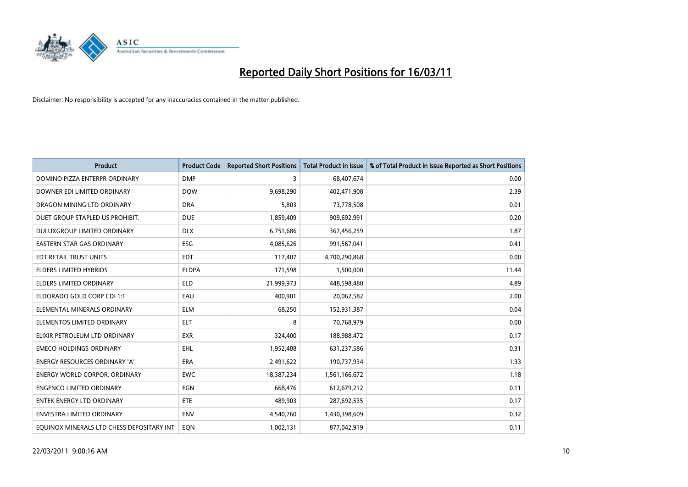

| <b>Product</b>                            | <b>Product Code</b> | <b>Reported Short Positions</b> | <b>Total Product in Issue</b> | % of Total Product in Issue Reported as Short Positions |
|-------------------------------------------|---------------------|---------------------------------|-------------------------------|---------------------------------------------------------|
| DOMINO PIZZA ENTERPR ORDINARY             | <b>DMP</b>          | 3                               | 68,407,674                    | 0.00                                                    |
| DOWNER EDI LIMITED ORDINARY               | <b>DOW</b>          | 9,698,290                       | 402,471,908                   | 2.39                                                    |
| DRAGON MINING LTD ORDINARY                | <b>DRA</b>          | 5,803                           | 73,778,508                    | 0.01                                                    |
| DUET GROUP STAPLED US PROHIBIT.           | <b>DUE</b>          | 1,859,409                       | 909,692,991                   | 0.20                                                    |
| <b>DULUXGROUP LIMITED ORDINARY</b>        | <b>DLX</b>          | 6,751,686                       | 367,456,259                   | 1.87                                                    |
| EASTERN STAR GAS ORDINARY                 | ESG                 | 4,085,626                       | 991,567,041                   | 0.41                                                    |
| EDT RETAIL TRUST UNITS                    | <b>EDT</b>          | 117,407                         | 4,700,290,868                 | 0.00                                                    |
| <b>ELDERS LIMITED HYBRIDS</b>             | <b>ELDPA</b>        | 171,598                         | 1,500,000                     | 11.44                                                   |
| <b>ELDERS LIMITED ORDINARY</b>            | <b>ELD</b>          | 21,999,973                      | 448,598,480                   | 4.89                                                    |
| ELDORADO GOLD CORP CDI 1:1                | EAU                 | 400,901                         | 20,062,582                    | 2.00                                                    |
| ELEMENTAL MINERALS ORDINARY               | <b>ELM</b>          | 68,250                          | 152,931,387                   | 0.04                                                    |
| ELEMENTOS LIMITED ORDINARY                | <b>ELT</b>          | 8                               | 70,768,979                    | 0.00                                                    |
| ELIXIR PETROLEUM LTD ORDINARY             | <b>EXR</b>          | 324,400                         | 188,988,472                   | 0.17                                                    |
| <b>EMECO HOLDINGS ORDINARY</b>            | <b>EHL</b>          | 1,952,488                       | 631,237,586                   | 0.31                                                    |
| <b>ENERGY RESOURCES ORDINARY 'A'</b>      | <b>ERA</b>          | 2,491,622                       | 190,737,934                   | 1.33                                                    |
| <b>ENERGY WORLD CORPOR. ORDINARY</b>      | <b>EWC</b>          | 18,387,234                      | 1,561,166,672                 | 1.18                                                    |
| <b>ENGENCO LIMITED ORDINARY</b>           | EGN                 | 668,476                         | 612,679,212                   | 0.11                                                    |
| <b>ENTEK ENERGY LTD ORDINARY</b>          | <b>ETE</b>          | 489,903                         | 287,692,535                   | 0.17                                                    |
| ENVESTRA LIMITED ORDINARY                 | <b>ENV</b>          | 4,540,760                       | 1,430,398,609                 | 0.32                                                    |
| EQUINOX MINERALS LTD CHESS DEPOSITARY INT | EON                 | 1,002,131                       | 877,042,919                   | 0.11                                                    |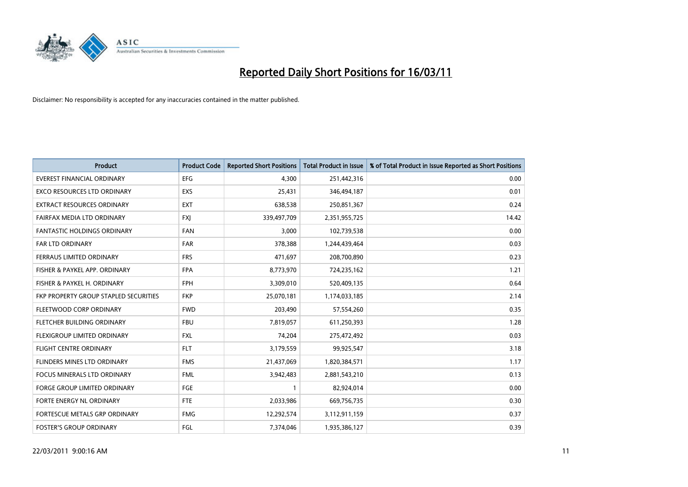

| <b>Product</b>                               | <b>Product Code</b> | <b>Reported Short Positions</b> | <b>Total Product in Issue</b> | % of Total Product in Issue Reported as Short Positions |
|----------------------------------------------|---------------------|---------------------------------|-------------------------------|---------------------------------------------------------|
| <b>EVEREST FINANCIAL ORDINARY</b>            | EFG                 | 4,300                           | 251,442,316                   | 0.00                                                    |
| EXCO RESOURCES LTD ORDINARY                  | EXS                 | 25,431                          | 346,494,187                   | 0.01                                                    |
| <b>EXTRACT RESOURCES ORDINARY</b>            | <b>EXT</b>          | 638,538                         | 250,851,367                   | 0.24                                                    |
| FAIRFAX MEDIA LTD ORDINARY                   | <b>FXI</b>          | 339,497,709                     | 2,351,955,725                 | 14.42                                                   |
| <b>FANTASTIC HOLDINGS ORDINARY</b>           | <b>FAN</b>          | 3,000                           | 102,739,538                   | 0.00                                                    |
| FAR LTD ORDINARY                             | <b>FAR</b>          | 378,388                         | 1,244,439,464                 | 0.03                                                    |
| <b>FERRAUS LIMITED ORDINARY</b>              | <b>FRS</b>          | 471,697                         | 208,700,890                   | 0.23                                                    |
| FISHER & PAYKEL APP. ORDINARY                | <b>FPA</b>          | 8,773,970                       | 724,235,162                   | 1.21                                                    |
| FISHER & PAYKEL H. ORDINARY                  | <b>FPH</b>          | 3,309,010                       | 520,409,135                   | 0.64                                                    |
| <b>FKP PROPERTY GROUP STAPLED SECURITIES</b> | <b>FKP</b>          | 25,070,181                      | 1,174,033,185                 | 2.14                                                    |
| FLEETWOOD CORP ORDINARY                      | <b>FWD</b>          | 203,490                         | 57,554,260                    | 0.35                                                    |
| FLETCHER BUILDING ORDINARY                   | <b>FBU</b>          | 7,819,057                       | 611,250,393                   | 1.28                                                    |
| FLEXIGROUP LIMITED ORDINARY                  | <b>FXL</b>          | 74,204                          | 275,472,492                   | 0.03                                                    |
| <b>FLIGHT CENTRE ORDINARY</b>                | <b>FLT</b>          | 3,179,559                       | 99,925,547                    | 3.18                                                    |
| FLINDERS MINES LTD ORDINARY                  | <b>FMS</b>          | 21,437,069                      | 1,820,384,571                 | 1.17                                                    |
| FOCUS MINERALS LTD ORDINARY                  | <b>FML</b>          | 3,942,483                       | 2,881,543,210                 | 0.13                                                    |
| <b>FORGE GROUP LIMITED ORDINARY</b>          | FGE                 |                                 | 82,924,014                    | 0.00                                                    |
| FORTE ENERGY NL ORDINARY                     | <b>FTE</b>          | 2,033,986                       | 669,756,735                   | 0.30                                                    |
| <b>FORTESCUE METALS GRP ORDINARY</b>         | <b>FMG</b>          | 12,292,574                      | 3,112,911,159                 | 0.37                                                    |
| <b>FOSTER'S GROUP ORDINARY</b>               | <b>FGL</b>          | 7,374,046                       | 1,935,386,127                 | 0.39                                                    |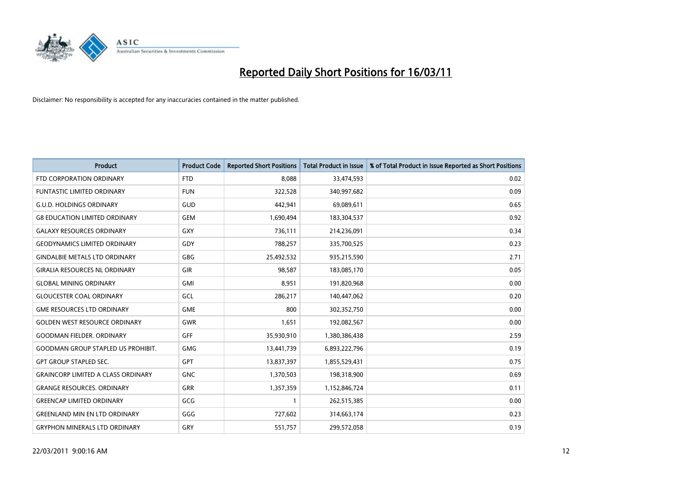

| <b>Product</b>                            | <b>Product Code</b> | <b>Reported Short Positions</b> | <b>Total Product in Issue</b> | % of Total Product in Issue Reported as Short Positions |
|-------------------------------------------|---------------------|---------------------------------|-------------------------------|---------------------------------------------------------|
| FTD CORPORATION ORDINARY                  | <b>FTD</b>          | 8.088                           | 33,474,593                    | 0.02                                                    |
| <b>FUNTASTIC LIMITED ORDINARY</b>         | <b>FUN</b>          | 322,528                         | 340,997,682                   | 0.09                                                    |
| <b>G.U.D. HOLDINGS ORDINARY</b>           | GUD                 | 442,941                         | 69,089,611                    | 0.65                                                    |
| <b>G8 EDUCATION LIMITED ORDINARY</b>      | <b>GEM</b>          | 1,690,494                       | 183,304,537                   | 0.92                                                    |
| <b>GALAXY RESOURCES ORDINARY</b>          | GXY                 | 736,111                         | 214,236,091                   | 0.34                                                    |
| <b>GEODYNAMICS LIMITED ORDINARY</b>       | GDY                 | 788,257                         | 335,700,525                   | 0.23                                                    |
| <b>GINDALBIE METALS LTD ORDINARY</b>      | <b>GBG</b>          | 25,492,532                      | 935,215,590                   | 2.71                                                    |
| <b>GIRALIA RESOURCES NL ORDINARY</b>      | GIR                 | 98,587                          | 183,085,170                   | 0.05                                                    |
| <b>GLOBAL MINING ORDINARY</b>             | <b>GMI</b>          | 8,951                           | 191,820,968                   | 0.00                                                    |
| <b>GLOUCESTER COAL ORDINARY</b>           | GCL                 | 286,217                         | 140,447,062                   | 0.20                                                    |
| <b>GME RESOURCES LTD ORDINARY</b>         | <b>GME</b>          | 800                             | 302,352,750                   | 0.00                                                    |
| <b>GOLDEN WEST RESOURCE ORDINARY</b>      | <b>GWR</b>          | 1,651                           | 192,082,567                   | 0.00                                                    |
| <b>GOODMAN FIELDER, ORDINARY</b>          | <b>GFF</b>          | 35,930,910                      | 1,380,386,438                 | 2.59                                                    |
| <b>GOODMAN GROUP STAPLED US PROHIBIT.</b> | GMG                 | 13,441,739                      | 6,893,222,796                 | 0.19                                                    |
| <b>GPT GROUP STAPLED SEC.</b>             | GPT                 | 13,837,397                      | 1,855,529,431                 | 0.75                                                    |
| <b>GRAINCORP LIMITED A CLASS ORDINARY</b> | <b>GNC</b>          | 1,370,503                       | 198,318,900                   | 0.69                                                    |
| <b>GRANGE RESOURCES. ORDINARY</b>         | GRR                 | 1,357,359                       | 1,152,846,724                 | 0.11                                                    |
| <b>GREENCAP LIMITED ORDINARY</b>          | GCG                 |                                 | 262,515,385                   | 0.00                                                    |
| <b>GREENLAND MIN EN LTD ORDINARY</b>      | GGG                 | 727,602                         | 314,663,174                   | 0.23                                                    |
| <b>GRYPHON MINERALS LTD ORDINARY</b>      | GRY                 | 551,757                         | 299,572,058                   | 0.19                                                    |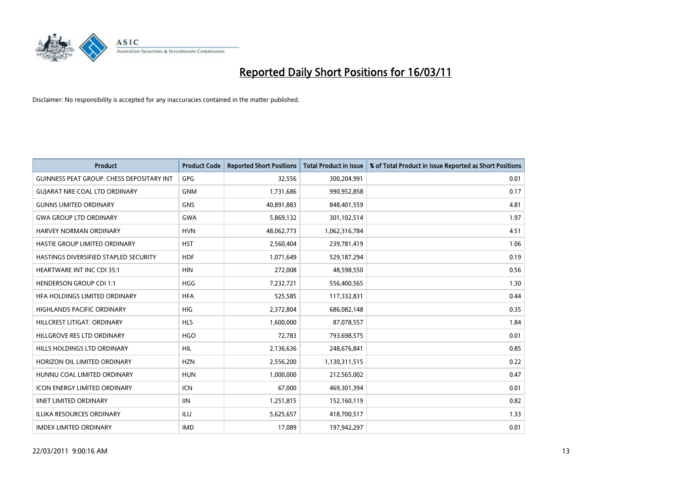

| Product                                          | <b>Product Code</b> | <b>Reported Short Positions</b> | <b>Total Product in Issue</b> | % of Total Product in Issue Reported as Short Positions |
|--------------------------------------------------|---------------------|---------------------------------|-------------------------------|---------------------------------------------------------|
| <b>GUINNESS PEAT GROUP. CHESS DEPOSITARY INT</b> | GPG                 | 32,556                          | 300,204,991                   | 0.01                                                    |
| <b>GUIARAT NRE COAL LTD ORDINARY</b>             | <b>GNM</b>          | 1,731,686                       | 990,952,858                   | 0.17                                                    |
| <b>GUNNS LIMITED ORDINARY</b>                    | <b>GNS</b>          | 40,891,883                      | 848,401,559                   | 4.81                                                    |
| <b>GWA GROUP LTD ORDINARY</b>                    | <b>GWA</b>          | 5,869,132                       | 301,102,514                   | 1.97                                                    |
| HARVEY NORMAN ORDINARY                           | <b>HVN</b>          | 48,062,773                      | 1,062,316,784                 | 4.51                                                    |
| HASTIE GROUP LIMITED ORDINARY                    | <b>HST</b>          | 2,560,404                       | 239,781,419                   | 1.06                                                    |
| HASTINGS DIVERSIFIED STAPLED SECURITY            | <b>HDF</b>          | 1,071,649                       | 529,187,294                   | 0.19                                                    |
| <b>HEARTWARE INT INC CDI 35:1</b>                | <b>HIN</b>          | 272,008                         | 48,598,550                    | 0.56                                                    |
| <b>HENDERSON GROUP CDI 1:1</b>                   | <b>HGG</b>          | 7,232,721                       | 556,400,565                   | 1.30                                                    |
| HEA HOLDINGS LIMITED ORDINARY                    | <b>HFA</b>          | 525,585                         | 117,332,831                   | 0.44                                                    |
| HIGHLANDS PACIFIC ORDINARY                       | <b>HIG</b>          | 2,372,804                       | 686,082,148                   | 0.35                                                    |
| HILLCREST LITIGAT, ORDINARY                      | <b>HLS</b>          | 1,600,000                       | 87,078,557                    | 1.84                                                    |
| HILLGROVE RES LTD ORDINARY                       | <b>HGO</b>          | 72,783                          | 793,698,575                   | 0.01                                                    |
| HILLS HOLDINGS LTD ORDINARY                      | <b>HIL</b>          | 2,136,636                       | 248,676,841                   | 0.85                                                    |
| HORIZON OIL LIMITED ORDINARY                     | <b>HZN</b>          | 2,556,200                       | 1,130,311,515                 | 0.22                                                    |
| HUNNU COAL LIMITED ORDINARY                      | <b>HUN</b>          | 1,000,000                       | 212,565,002                   | 0.47                                                    |
| <b>ICON ENERGY LIMITED ORDINARY</b>              | <b>ICN</b>          | 67,000                          | 469,301,394                   | 0.01                                                    |
| <b>IINET LIMITED ORDINARY</b>                    | <b>IIN</b>          | 1,251,815                       | 152,160,119                   | 0.82                                                    |
| <b>ILUKA RESOURCES ORDINARY</b>                  | ILU                 | 5,625,657                       | 418,700,517                   | 1.33                                                    |
| <b>IMDEX LIMITED ORDINARY</b>                    | <b>IMD</b>          | 17,089                          | 197,942,297                   | 0.01                                                    |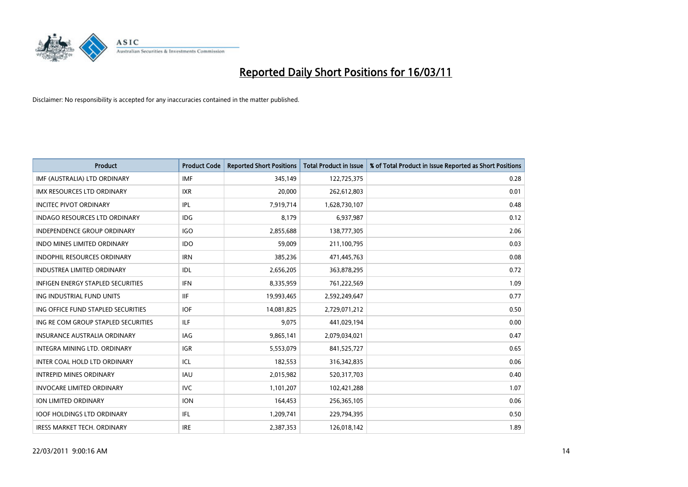

| <b>Product</b>                      | <b>Product Code</b> | <b>Reported Short Positions</b> | <b>Total Product in Issue</b> | % of Total Product in Issue Reported as Short Positions |
|-------------------------------------|---------------------|---------------------------------|-------------------------------|---------------------------------------------------------|
| IMF (AUSTRALIA) LTD ORDINARY        | <b>IMF</b>          | 345,149                         | 122,725,375                   | 0.28                                                    |
| IMX RESOURCES LTD ORDINARY          | <b>IXR</b>          | 20,000                          | 262,612,803                   | 0.01                                                    |
| <b>INCITEC PIVOT ORDINARY</b>       | <b>IPL</b>          | 7,919,714                       | 1,628,730,107                 | 0.48                                                    |
| INDAGO RESOURCES LTD ORDINARY       | <b>IDG</b>          | 8,179                           | 6,937,987                     | 0.12                                                    |
| <b>INDEPENDENCE GROUP ORDINARY</b>  | <b>IGO</b>          | 2,855,688                       | 138,777,305                   | 2.06                                                    |
| <b>INDO MINES LIMITED ORDINARY</b>  | <b>IDO</b>          | 59,009                          | 211,100,795                   | 0.03                                                    |
| <b>INDOPHIL RESOURCES ORDINARY</b>  | <b>IRN</b>          | 385,236                         | 471,445,763                   | 0.08                                                    |
| <b>INDUSTREA LIMITED ORDINARY</b>   | IDL                 | 2,656,205                       | 363,878,295                   | 0.72                                                    |
| INFIGEN ENERGY STAPLED SECURITIES   | <b>IFN</b>          | 8,335,959                       | 761,222,569                   | 1.09                                                    |
| ING INDUSTRIAL FUND UNITS           | <b>IIF</b>          | 19,993,465                      | 2,592,249,647                 | 0.77                                                    |
| ING OFFICE FUND STAPLED SECURITIES  | <b>IOF</b>          | 14,081,825                      | 2,729,071,212                 | 0.50                                                    |
| ING RE COM GROUP STAPLED SECURITIES | <b>ILF</b>          | 9.075                           | 441,029,194                   | 0.00                                                    |
| <b>INSURANCE AUSTRALIA ORDINARY</b> | IAG                 | 9,865,141                       | 2,079,034,021                 | 0.47                                                    |
| <b>INTEGRA MINING LTD, ORDINARY</b> | <b>IGR</b>          | 5,553,079                       | 841,525,727                   | 0.65                                                    |
| INTER COAL HOLD LTD ORDINARY        | ICL                 | 182,553                         | 316,342,835                   | 0.06                                                    |
| <b>INTREPID MINES ORDINARY</b>      | <b>IAU</b>          | 2,015,982                       | 520,317,703                   | 0.40                                                    |
| <b>INVOCARE LIMITED ORDINARY</b>    | <b>IVC</b>          | 1,101,207                       | 102,421,288                   | 1.07                                                    |
| ION LIMITED ORDINARY                | <b>ION</b>          | 164,453                         | 256,365,105                   | 0.06                                                    |
| <b>IOOF HOLDINGS LTD ORDINARY</b>   | IFL.                | 1,209,741                       | 229,794,395                   | 0.50                                                    |
| <b>IRESS MARKET TECH. ORDINARY</b>  | <b>IRE</b>          | 2,387,353                       | 126,018,142                   | 1.89                                                    |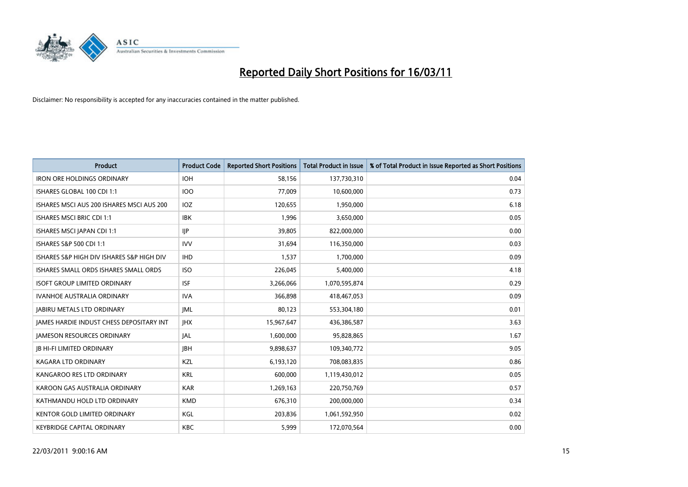

| <b>Product</b>                                  | <b>Product Code</b> | <b>Reported Short Positions</b> | Total Product in Issue | % of Total Product in Issue Reported as Short Positions |
|-------------------------------------------------|---------------------|---------------------------------|------------------------|---------------------------------------------------------|
| <b>IRON ORE HOLDINGS ORDINARY</b>               | <b>IOH</b>          | 58,156                          | 137,730,310            | 0.04                                                    |
| ISHARES GLOBAL 100 CDI 1:1                      | <b>IOO</b>          | 77,009                          | 10,600,000             | 0.73                                                    |
| ISHARES MSCI AUS 200 ISHARES MSCI AUS 200       | IOZ                 | 120,655                         | 1,950,000              | 6.18                                                    |
| ISHARES MSCI BRIC CDI 1:1                       | <b>IBK</b>          | 1,996                           | 3,650,000              | 0.05                                                    |
| ISHARES MSCI JAPAN CDI 1:1                      | <b>IIP</b>          | 39,805                          | 822,000,000            | 0.00                                                    |
| ISHARES S&P 500 CDI 1:1                         | <b>IVV</b>          | 31.694                          | 116,350,000            | 0.03                                                    |
| ISHARES S&P HIGH DIV ISHARES S&P HIGH DIV       | <b>IHD</b>          | 1,537                           | 1,700,000              | 0.09                                                    |
| ISHARES SMALL ORDS ISHARES SMALL ORDS           | <b>ISO</b>          | 226,045                         | 5,400,000              | 4.18                                                    |
| <b>ISOFT GROUP LIMITED ORDINARY</b>             | <b>ISF</b>          | 3,266,066                       | 1,070,595,874          | 0.29                                                    |
| <b>IVANHOE AUSTRALIA ORDINARY</b>               | <b>IVA</b>          | 366.898                         | 418,467,053            | 0.09                                                    |
| JABIRU METALS LTD ORDINARY                      | <b>IML</b>          | 80,123                          | 553,304,180            | 0.01                                                    |
| <b>JAMES HARDIE INDUST CHESS DEPOSITARY INT</b> | <b>IHX</b>          | 15,967,647                      | 436,386,587            | 3.63                                                    |
| <b>JAMESON RESOURCES ORDINARY</b>               | <b>JAL</b>          | 1,600,000                       | 95,828,865             | 1.67                                                    |
| <b>IB HI-FI LIMITED ORDINARY</b>                | <b>IBH</b>          | 9,898,637                       | 109,340,772            | 9.05                                                    |
| <b>KAGARA LTD ORDINARY</b>                      | KZL                 | 6,193,120                       | 708,083,835            | 0.86                                                    |
| KANGAROO RES LTD ORDINARY                       | <b>KRL</b>          | 600,000                         | 1,119,430,012          | 0.05                                                    |
| KAROON GAS AUSTRALIA ORDINARY                   | <b>KAR</b>          | 1,269,163                       | 220,750,769            | 0.57                                                    |
| KATHMANDU HOLD LTD ORDINARY                     | <b>KMD</b>          | 676,310                         | 200,000,000            | 0.34                                                    |
| <b>KENTOR GOLD LIMITED ORDINARY</b>             | KGL                 | 203,836                         | 1,061,592,950          | 0.02                                                    |
| <b>KEYBRIDGE CAPITAL ORDINARY</b>               | KBC                 | 5,999                           | 172,070,564            | 0.00                                                    |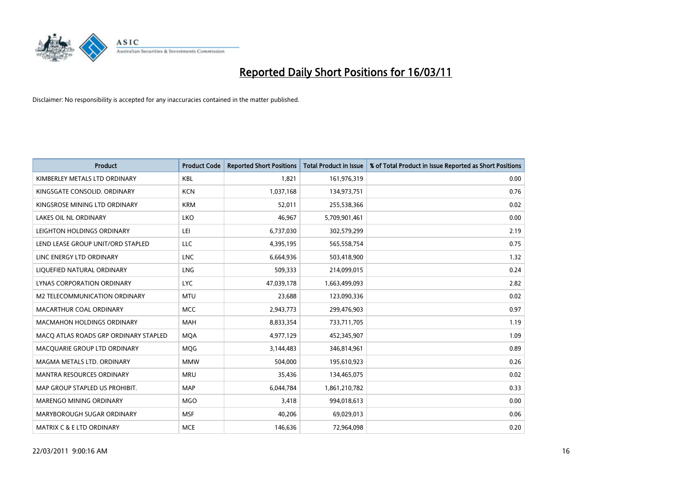

| <b>Product</b>                        | <b>Product Code</b> | <b>Reported Short Positions</b> | <b>Total Product in Issue</b> | % of Total Product in Issue Reported as Short Positions |
|---------------------------------------|---------------------|---------------------------------|-------------------------------|---------------------------------------------------------|
| KIMBERLEY METALS LTD ORDINARY         | <b>KBL</b>          | 1,821                           | 161,976,319                   | 0.00                                                    |
| KINGSGATE CONSOLID. ORDINARY          | <b>KCN</b>          | 1,037,168                       | 134,973,751                   | 0.76                                                    |
| KINGSROSE MINING LTD ORDINARY         | <b>KRM</b>          | 52,011                          | 255,538,366                   | 0.02                                                    |
| LAKES OIL NL ORDINARY                 | LKO                 | 46,967                          | 5,709,901,461                 | 0.00                                                    |
| LEIGHTON HOLDINGS ORDINARY            | LEI                 | 6,737,030                       | 302,579,299                   | 2.19                                                    |
| LEND LEASE GROUP UNIT/ORD STAPLED     | <b>LLC</b>          | 4,395,195                       | 565,558,754                   | 0.75                                                    |
| LINC ENERGY LTD ORDINARY              | <b>LNC</b>          | 6,664,936                       | 503,418,900                   | 1.32                                                    |
| LIQUEFIED NATURAL ORDINARY            | <b>LNG</b>          | 509,333                         | 214,099,015                   | 0.24                                                    |
| <b>LYNAS CORPORATION ORDINARY</b>     | <b>LYC</b>          | 47,039,178                      | 1,663,499,093                 | 2.82                                                    |
| M2 TELECOMMUNICATION ORDINARY         | <b>MTU</b>          | 23,688                          | 123,090,336                   | 0.02                                                    |
| MACARTHUR COAL ORDINARY               | <b>MCC</b>          | 2,943,773                       | 299,476,903                   | 0.97                                                    |
| <b>MACMAHON HOLDINGS ORDINARY</b>     | <b>MAH</b>          | 8,833,354                       | 733,711,705                   | 1.19                                                    |
| MACO ATLAS ROADS GRP ORDINARY STAPLED | <b>MQA</b>          | 4,977,129                       | 452,345,907                   | 1.09                                                    |
| MACQUARIE GROUP LTD ORDINARY          | MQG                 | 3,144,483                       | 346,814,961                   | 0.89                                                    |
| MAGMA METALS LTD. ORDINARY            | <b>MMW</b>          | 504.000                         | 195,610,923                   | 0.26                                                    |
| MANTRA RESOURCES ORDINARY             | <b>MRU</b>          | 35,436                          | 134,465,075                   | 0.02                                                    |
| MAP GROUP STAPLED US PROHIBIT.        | <b>MAP</b>          | 6,044,784                       | 1,861,210,782                 | 0.33                                                    |
| MARENGO MINING ORDINARY               | <b>MGO</b>          | 3,418                           | 994,018,613                   | 0.00                                                    |
| MARYBOROUGH SUGAR ORDINARY            | <b>MSF</b>          | 40,206                          | 69,029,013                    | 0.06                                                    |
| MATRIX C & E LTD ORDINARY             | <b>MCE</b>          | 146,636                         | 72,964,098                    | 0.20                                                    |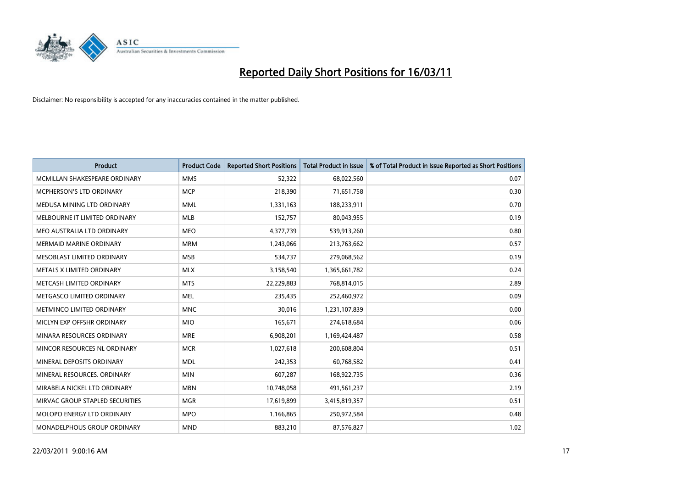

| <b>Product</b>                  | <b>Product Code</b> | <b>Reported Short Positions</b> | Total Product in Issue | % of Total Product in Issue Reported as Short Positions |
|---------------------------------|---------------------|---------------------------------|------------------------|---------------------------------------------------------|
| MCMILLAN SHAKESPEARE ORDINARY   | <b>MMS</b>          | 52,322                          | 68,022,560             | 0.07                                                    |
| MCPHERSON'S LTD ORDINARY        | <b>MCP</b>          | 218,390                         | 71,651,758             | 0.30                                                    |
| MEDUSA MINING LTD ORDINARY      | <b>MML</b>          | 1,331,163                       | 188,233,911            | 0.70                                                    |
| MELBOURNE IT LIMITED ORDINARY   | <b>MLB</b>          | 152,757                         | 80,043,955             | 0.19                                                    |
| MEO AUSTRALIA LTD ORDINARY      | <b>MEO</b>          | 4,377,739                       | 539,913,260            | 0.80                                                    |
| <b>MERMAID MARINE ORDINARY</b>  | <b>MRM</b>          | 1,243,066                       | 213,763,662            | 0.57                                                    |
| MESOBLAST LIMITED ORDINARY      | <b>MSB</b>          | 534,737                         | 279,068,562            | 0.19                                                    |
| METALS X LIMITED ORDINARY       | <b>MLX</b>          | 3,158,540                       | 1,365,661,782          | 0.24                                                    |
| METCASH LIMITED ORDINARY        | <b>MTS</b>          | 22,229,883                      | 768,814,015            | 2.89                                                    |
| METGASCO LIMITED ORDINARY       | <b>MEL</b>          | 235,435                         | 252,460,972            | 0.09                                                    |
| METMINCO LIMITED ORDINARY       | <b>MNC</b>          | 30,016                          | 1,231,107,839          | 0.00                                                    |
| MICLYN EXP OFFSHR ORDINARY      | <b>MIO</b>          | 165,671                         | 274,618,684            | 0.06                                                    |
| MINARA RESOURCES ORDINARY       | <b>MRE</b>          | 6,908,201                       | 1,169,424,487          | 0.58                                                    |
| MINCOR RESOURCES NL ORDINARY    | <b>MCR</b>          | 1,027,618                       | 200,608,804            | 0.51                                                    |
| MINERAL DEPOSITS ORDINARY       | <b>MDL</b>          | 242,353                         | 60,768,582             | 0.41                                                    |
| MINERAL RESOURCES. ORDINARY     | <b>MIN</b>          | 607,287                         | 168,922,735            | 0.36                                                    |
| MIRABELA NICKEL LTD ORDINARY    | <b>MBN</b>          | 10,748,058                      | 491,561,237            | 2.19                                                    |
| MIRVAC GROUP STAPLED SECURITIES | <b>MGR</b>          | 17,619,899                      | 3,415,819,357          | 0.51                                                    |
| MOLOPO ENERGY LTD ORDINARY      | <b>MPO</b>          | 1,166,865                       | 250,972,584            | 0.48                                                    |
| MONADELPHOUS GROUP ORDINARY     | <b>MND</b>          | 883,210                         | 87,576,827             | 1.02                                                    |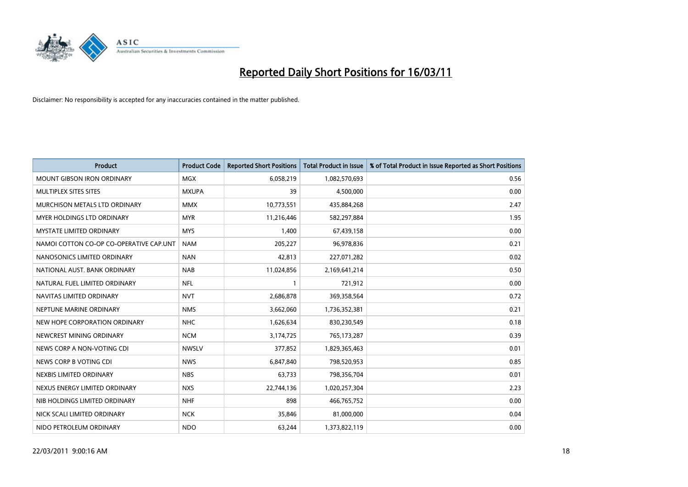

| Product                                 | <b>Product Code</b> | <b>Reported Short Positions</b> | <b>Total Product in Issue</b> | % of Total Product in Issue Reported as Short Positions |
|-----------------------------------------|---------------------|---------------------------------|-------------------------------|---------------------------------------------------------|
| <b>MOUNT GIBSON IRON ORDINARY</b>       | MGX                 | 6,058,219                       | 1,082,570,693                 | 0.56                                                    |
| MULTIPLEX SITES SITES                   | <b>MXUPA</b>        | 39                              | 4,500,000                     | 0.00                                                    |
| MURCHISON METALS LTD ORDINARY           | <b>MMX</b>          | 10,773,551                      | 435,884,268                   | 2.47                                                    |
| <b>MYER HOLDINGS LTD ORDINARY</b>       | <b>MYR</b>          | 11,216,446                      | 582,297,884                   | 1.95                                                    |
| <b>MYSTATE LIMITED ORDINARY</b>         | <b>MYS</b>          | 1,400                           | 67,439,158                    | 0.00                                                    |
| NAMOI COTTON CO-OP CO-OPERATIVE CAP.UNT | <b>NAM</b>          | 205,227                         | 96,978,836                    | 0.21                                                    |
| NANOSONICS LIMITED ORDINARY             | <b>NAN</b>          | 42,813                          | 227,071,282                   | 0.02                                                    |
| NATIONAL AUST. BANK ORDINARY            | <b>NAB</b>          | 11,024,856                      | 2,169,641,214                 | 0.50                                                    |
| NATURAL FUEL LIMITED ORDINARY           | <b>NFL</b>          |                                 | 721,912                       | 0.00                                                    |
| NAVITAS LIMITED ORDINARY                | <b>NVT</b>          | 2,686,878                       | 369,358,564                   | 0.72                                                    |
| NEPTUNE MARINE ORDINARY                 | <b>NMS</b>          | 3,662,060                       | 1,736,352,381                 | 0.21                                                    |
| NEW HOPE CORPORATION ORDINARY           | <b>NHC</b>          | 1,626,634                       | 830,230,549                   | 0.18                                                    |
| NEWCREST MINING ORDINARY                | <b>NCM</b>          | 3,174,725                       | 765,173,287                   | 0.39                                                    |
| NEWS CORP A NON-VOTING CDI              | <b>NWSLV</b>        | 377,852                         | 1,829,365,463                 | 0.01                                                    |
| NEWS CORP B VOTING CDI                  | <b>NWS</b>          | 6,847,840                       | 798,520,953                   | 0.85                                                    |
| NEXBIS LIMITED ORDINARY                 | <b>NBS</b>          | 63,733                          | 798,356,704                   | 0.01                                                    |
| NEXUS ENERGY LIMITED ORDINARY           | <b>NXS</b>          | 22,744,136                      | 1,020,257,304                 | 2.23                                                    |
| NIB HOLDINGS LIMITED ORDINARY           | <b>NHF</b>          | 898                             | 466,765,752                   | 0.00                                                    |
| NICK SCALI LIMITED ORDINARY             | <b>NCK</b>          | 35,846                          | 81,000,000                    | 0.04                                                    |
| NIDO PETROLEUM ORDINARY                 | <b>NDO</b>          | 63,244                          | 1,373,822,119                 | 0.00                                                    |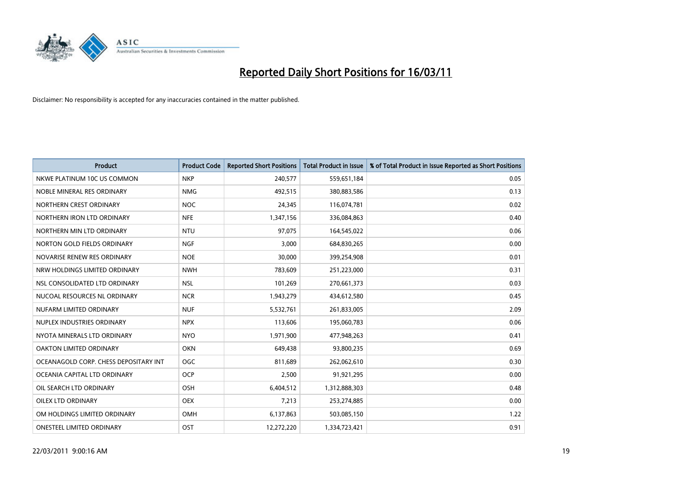

| Product                               | <b>Product Code</b> | <b>Reported Short Positions</b> | <b>Total Product in Issue</b> | % of Total Product in Issue Reported as Short Positions |
|---------------------------------------|---------------------|---------------------------------|-------------------------------|---------------------------------------------------------|
| NKWE PLATINUM 10C US COMMON           | <b>NKP</b>          | 240,577                         | 559,651,184                   | 0.05                                                    |
| NOBLE MINERAL RES ORDINARY            | <b>NMG</b>          | 492,515                         | 380,883,586                   | 0.13                                                    |
| NORTHERN CREST ORDINARY               | <b>NOC</b>          | 24,345                          | 116,074,781                   | 0.02                                                    |
| NORTHERN IRON LTD ORDINARY            | <b>NFE</b>          | 1,347,156                       | 336,084,863                   | 0.40                                                    |
| NORTHERN MIN LTD ORDINARY             | <b>NTU</b>          | 97,075                          | 164,545,022                   | 0.06                                                    |
| NORTON GOLD FIELDS ORDINARY           | <b>NGF</b>          | 3,000                           | 684,830,265                   | 0.00                                                    |
| NOVARISE RENEW RES ORDINARY           | <b>NOE</b>          | 30,000                          | 399,254,908                   | 0.01                                                    |
| NRW HOLDINGS LIMITED ORDINARY         | <b>NWH</b>          | 783,609                         | 251,223,000                   | 0.31                                                    |
| NSL CONSOLIDATED LTD ORDINARY         | <b>NSL</b>          | 101,269                         | 270,661,373                   | 0.03                                                    |
| NUCOAL RESOURCES NL ORDINARY          | <b>NCR</b>          | 1,943,279                       | 434,612,580                   | 0.45                                                    |
| NUFARM LIMITED ORDINARY               | <b>NUF</b>          | 5,532,761                       | 261,833,005                   | 2.09                                                    |
| NUPLEX INDUSTRIES ORDINARY            | <b>NPX</b>          | 113,606                         | 195,060,783                   | 0.06                                                    |
| NYOTA MINERALS LTD ORDINARY           | <b>NYO</b>          | 1,971,900                       | 477,948,263                   | 0.41                                                    |
| OAKTON LIMITED ORDINARY               | <b>OKN</b>          | 649,438                         | 93,800,235                    | 0.69                                                    |
| OCEANAGOLD CORP. CHESS DEPOSITARY INT | <b>OGC</b>          | 811,689                         | 262,062,610                   | 0.30                                                    |
| OCEANIA CAPITAL LTD ORDINARY          | <b>OCP</b>          | 2,500                           | 91,921,295                    | 0.00                                                    |
| OIL SEARCH LTD ORDINARY               | OSH                 | 6,404,512                       | 1,312,888,303                 | 0.48                                                    |
| <b>OILEX LTD ORDINARY</b>             | <b>OEX</b>          | 7,213                           | 253,274,885                   | 0.00                                                    |
| OM HOLDINGS LIMITED ORDINARY          | <b>OMH</b>          | 6,137,863                       | 503,085,150                   | 1.22                                                    |
| <b>ONESTEEL LIMITED ORDINARY</b>      | OST                 | 12,272,220                      | 1,334,723,421                 | 0.91                                                    |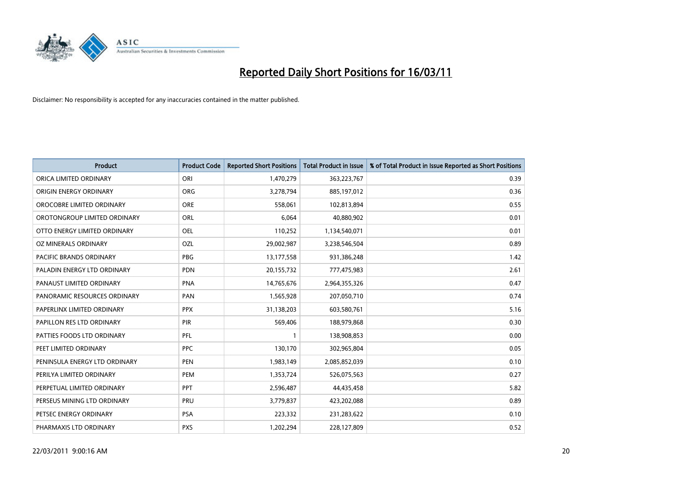

| <b>Product</b>                 | <b>Product Code</b> | <b>Reported Short Positions</b> | <b>Total Product in Issue</b> | % of Total Product in Issue Reported as Short Positions |
|--------------------------------|---------------------|---------------------------------|-------------------------------|---------------------------------------------------------|
| ORICA LIMITED ORDINARY         | ORI                 | 1,470,279                       | 363,223,767                   | 0.39                                                    |
| ORIGIN ENERGY ORDINARY         | <b>ORG</b>          | 3,278,794                       | 885,197,012                   | 0.36                                                    |
| OROCOBRE LIMITED ORDINARY      | <b>ORE</b>          | 558,061                         | 102,813,894                   | 0.55                                                    |
| OROTONGROUP LIMITED ORDINARY   | ORL                 | 6,064                           | 40,880,902                    | 0.01                                                    |
| OTTO ENERGY LIMITED ORDINARY   | <b>OEL</b>          | 110,252                         | 1,134,540,071                 | 0.01                                                    |
| OZ MINERALS ORDINARY           | <b>OZL</b>          | 29,002,987                      | 3,238,546,504                 | 0.89                                                    |
| <b>PACIFIC BRANDS ORDINARY</b> | <b>PBG</b>          | 13,177,558                      | 931,386,248                   | 1.42                                                    |
| PALADIN ENERGY LTD ORDINARY    | <b>PDN</b>          | 20,155,732                      | 777,475,983                   | 2.61                                                    |
| PANAUST LIMITED ORDINARY       | <b>PNA</b>          | 14,765,676                      | 2,964,355,326                 | 0.47                                                    |
| PANORAMIC RESOURCES ORDINARY   | PAN                 | 1,565,928                       | 207,050,710                   | 0.74                                                    |
| PAPERLINX LIMITED ORDINARY     | <b>PPX</b>          | 31,138,203                      | 603,580,761                   | 5.16                                                    |
| PAPILLON RES LTD ORDINARY      | PIR                 | 569,406                         | 188,979,868                   | 0.30                                                    |
| PATTIES FOODS LTD ORDINARY     | PFL                 |                                 | 138,908,853                   | 0.00                                                    |
| PEET LIMITED ORDINARY          | <b>PPC</b>          | 130,170                         | 302,965,804                   | 0.05                                                    |
| PENINSULA ENERGY LTD ORDINARY  | <b>PEN</b>          | 1,983,149                       | 2,085,852,039                 | 0.10                                                    |
| PERILYA LIMITED ORDINARY       | PEM                 | 1,353,724                       | 526,075,563                   | 0.27                                                    |
| PERPETUAL LIMITED ORDINARY     | PPT                 | 2,596,487                       | 44,435,458                    | 5.82                                                    |
| PERSEUS MINING LTD ORDINARY    | PRU                 | 3,779,837                       | 423,202,088                   | 0.89                                                    |
| PETSEC ENERGY ORDINARY         | <b>PSA</b>          | 223,332                         | 231,283,622                   | 0.10                                                    |
| PHARMAXIS LTD ORDINARY         | <b>PXS</b>          | 1,202,294                       | 228,127,809                   | 0.52                                                    |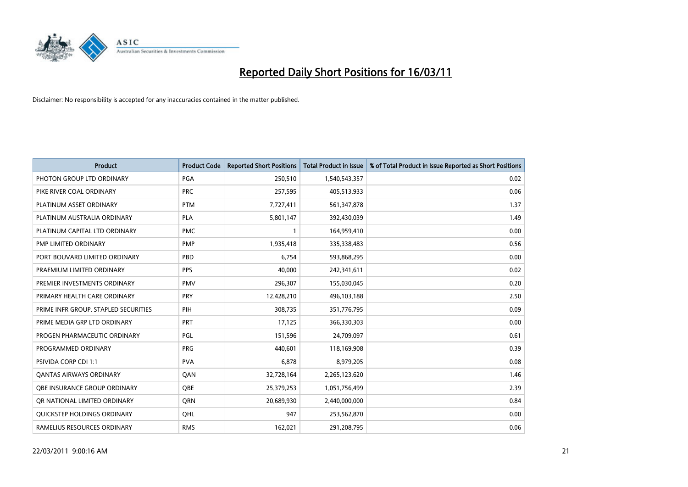

| <b>Product</b>                       | <b>Product Code</b> | <b>Reported Short Positions</b> | Total Product in Issue | % of Total Product in Issue Reported as Short Positions |
|--------------------------------------|---------------------|---------------------------------|------------------------|---------------------------------------------------------|
| PHOTON GROUP LTD ORDINARY            | <b>PGA</b>          | 250,510                         | 1,540,543,357          | 0.02                                                    |
| PIKE RIVER COAL ORDINARY             | <b>PRC</b>          | 257,595                         | 405,513,933            | 0.06                                                    |
| PLATINUM ASSET ORDINARY              | <b>PTM</b>          | 7,727,411                       | 561,347,878            | 1.37                                                    |
| PLATINUM AUSTRALIA ORDINARY          | <b>PLA</b>          | 5,801,147                       | 392,430,039            | 1.49                                                    |
| PLATINUM CAPITAL LTD ORDINARY        | <b>PMC</b>          |                                 | 164,959,410            | 0.00                                                    |
| PMP LIMITED ORDINARY                 | PMP                 | 1,935,418                       | 335,338,483            | 0.56                                                    |
| PORT BOUVARD LIMITED ORDINARY        | PBD                 | 6.754                           | 593,868,295            | 0.00                                                    |
| PRAEMIUM LIMITED ORDINARY            | <b>PPS</b>          | 40.000                          | 242,341,611            | 0.02                                                    |
| PREMIER INVESTMENTS ORDINARY         | <b>PMV</b>          | 296,307                         | 155,030,045            | 0.20                                                    |
| PRIMARY HEALTH CARE ORDINARY         | <b>PRY</b>          | 12,428,210                      | 496,103,188            | 2.50                                                    |
| PRIME INFR GROUP. STAPLED SECURITIES | PIH                 | 308,735                         | 351,776,795            | 0.09                                                    |
| PRIME MEDIA GRP LTD ORDINARY         | PRT                 | 17,125                          | 366,330,303            | 0.00                                                    |
| PROGEN PHARMACEUTIC ORDINARY         | PGL                 | 151,596                         | 24,709,097             | 0.61                                                    |
| PROGRAMMED ORDINARY                  | <b>PRG</b>          | 440.601                         | 118,169,908            | 0.39                                                    |
| <b>PSIVIDA CORP CDI 1:1</b>          | <b>PVA</b>          | 6,878                           | 8,979,205              | 0.08                                                    |
| <b>QANTAS AIRWAYS ORDINARY</b>       | <b>OAN</b>          | 32,728,164                      | 2,265,123,620          | 1.46                                                    |
| OBE INSURANCE GROUP ORDINARY         | <b>OBE</b>          | 25,379,253                      | 1,051,756,499          | 2.39                                                    |
| OR NATIONAL LIMITED ORDINARY         | <b>ORN</b>          | 20,689,930                      | 2,440,000,000          | 0.84                                                    |
| <b>OUICKSTEP HOLDINGS ORDINARY</b>   | OHL                 | 947                             | 253,562,870            | 0.00                                                    |
| RAMELIUS RESOURCES ORDINARY          | <b>RMS</b>          | 162,021                         | 291,208,795            | 0.06                                                    |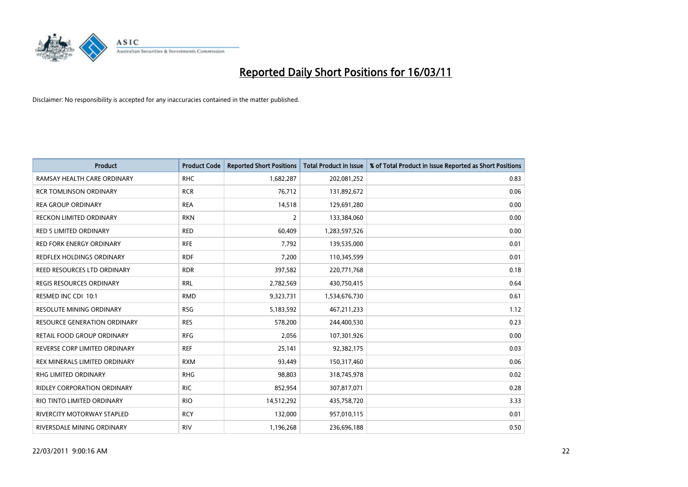

| <b>Product</b>                      | <b>Product Code</b> | <b>Reported Short Positions</b> | <b>Total Product in Issue</b> | % of Total Product in Issue Reported as Short Positions |
|-------------------------------------|---------------------|---------------------------------|-------------------------------|---------------------------------------------------------|
| RAMSAY HEALTH CARE ORDINARY         | <b>RHC</b>          | 1,682,287                       | 202,081,252                   | 0.83                                                    |
| <b>RCR TOMLINSON ORDINARY</b>       | <b>RCR</b>          | 76,712                          | 131,892,672                   | 0.06                                                    |
| <b>REA GROUP ORDINARY</b>           | <b>REA</b>          | 14,518                          | 129,691,280                   | 0.00                                                    |
| RECKON LIMITED ORDINARY             | <b>RKN</b>          | 2                               | 133,384,060                   | 0.00                                                    |
| <b>RED 5 LIMITED ORDINARY</b>       | <b>RED</b>          | 60,409                          | 1,283,597,526                 | 0.00                                                    |
| <b>RED FORK ENERGY ORDINARY</b>     | <b>RFE</b>          | 7,792                           | 139,535,000                   | 0.01                                                    |
| REDFLEX HOLDINGS ORDINARY           | <b>RDF</b>          | 7,200                           | 110,345,599                   | 0.01                                                    |
| REED RESOURCES LTD ORDINARY         | <b>RDR</b>          | 397,582                         | 220,771,768                   | 0.18                                                    |
| REGIS RESOURCES ORDINARY            | <b>RRL</b>          | 2,782,569                       | 430,750,415                   | 0.64                                                    |
| RESMED INC CDI 10:1                 | <b>RMD</b>          | 9,323,731                       | 1,534,676,730                 | 0.61                                                    |
| <b>RESOLUTE MINING ORDINARY</b>     | <b>RSG</b>          | 5,183,592                       | 467,211,233                   | 1.12                                                    |
| <b>RESOURCE GENERATION ORDINARY</b> | <b>RES</b>          | 578,200                         | 244,400,530                   | 0.23                                                    |
| RETAIL FOOD GROUP ORDINARY          | <b>RFG</b>          | 2,056                           | 107,301,926                   | 0.00                                                    |
| REVERSE CORP LIMITED ORDINARY       | <b>REF</b>          | 25,141                          | 92,382,175                    | 0.03                                                    |
| REX MINERALS LIMITED ORDINARY       | <b>RXM</b>          | 93,449                          | 150,317,460                   | 0.06                                                    |
| <b>RHG LIMITED ORDINARY</b>         | <b>RHG</b>          | 98,803                          | 318,745,978                   | 0.02                                                    |
| <b>RIDLEY CORPORATION ORDINARY</b>  | <b>RIC</b>          | 852,954                         | 307,817,071                   | 0.28                                                    |
| RIO TINTO LIMITED ORDINARY          | <b>RIO</b>          | 14,512,292                      | 435,758,720                   | 3.33                                                    |
| RIVERCITY MOTORWAY STAPLED          | <b>RCY</b>          | 132,000                         | 957,010,115                   | 0.01                                                    |
| RIVERSDALE MINING ORDINARY          | <b>RIV</b>          | 1,196,268                       | 236,696,188                   | 0.50                                                    |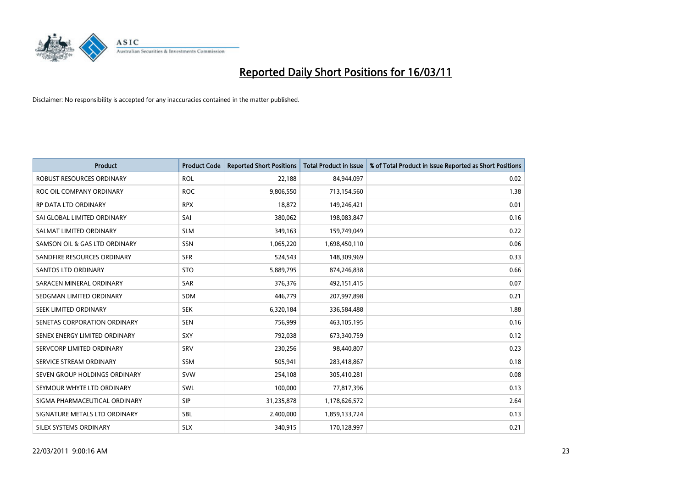

| <b>Product</b>                   | <b>Product Code</b> | <b>Reported Short Positions</b> | <b>Total Product in Issue</b> | % of Total Product in Issue Reported as Short Positions |
|----------------------------------|---------------------|---------------------------------|-------------------------------|---------------------------------------------------------|
| <b>ROBUST RESOURCES ORDINARY</b> | <b>ROL</b>          | 22,188                          | 84,944,097                    | 0.02                                                    |
| ROC OIL COMPANY ORDINARY         | <b>ROC</b>          | 9,806,550                       | 713,154,560                   | 1.38                                                    |
| RP DATA LTD ORDINARY             | <b>RPX</b>          | 18,872                          | 149,246,421                   | 0.01                                                    |
| SAI GLOBAL LIMITED ORDINARY      | SAI                 | 380,062                         | 198,083,847                   | 0.16                                                    |
| SALMAT LIMITED ORDINARY          | <b>SLM</b>          | 349,163                         | 159,749,049                   | 0.22                                                    |
| SAMSON OIL & GAS LTD ORDINARY    | SSN                 | 1,065,220                       | 1,698,450,110                 | 0.06                                                    |
| SANDFIRE RESOURCES ORDINARY      | <b>SFR</b>          | 524,543                         | 148,309,969                   | 0.33                                                    |
| <b>SANTOS LTD ORDINARY</b>       | <b>STO</b>          | 5,889,795                       | 874,246,838                   | 0.66                                                    |
| SARACEN MINERAL ORDINARY         | SAR                 | 376,376                         | 492,151,415                   | 0.07                                                    |
| SEDGMAN LIMITED ORDINARY         | <b>SDM</b>          | 446,779                         | 207,997,898                   | 0.21                                                    |
| SEEK LIMITED ORDINARY            | <b>SEK</b>          | 6,320,184                       | 336,584,488                   | 1.88                                                    |
| SENETAS CORPORATION ORDINARY     | <b>SEN</b>          | 756,999                         | 463,105,195                   | 0.16                                                    |
| SENEX ENERGY LIMITED ORDINARY    | <b>SXY</b>          | 792,038                         | 673,340,759                   | 0.12                                                    |
| SERVCORP LIMITED ORDINARY        | SRV                 | 230,256                         | 98,440,807                    | 0.23                                                    |
| SERVICE STREAM ORDINARY          | <b>SSM</b>          | 505,941                         | 283,418,867                   | 0.18                                                    |
| SEVEN GROUP HOLDINGS ORDINARY    | <b>SVW</b>          | 254,108                         | 305,410,281                   | 0.08                                                    |
| SEYMOUR WHYTE LTD ORDINARY       | SWL                 | 100,000                         | 77,817,396                    | 0.13                                                    |
| SIGMA PHARMACEUTICAL ORDINARY    | <b>SIP</b>          | 31,235,878                      | 1,178,626,572                 | 2.64                                                    |
| SIGNATURE METALS LTD ORDINARY    | <b>SBL</b>          | 2,400,000                       | 1,859,133,724                 | 0.13                                                    |
| <b>SILEX SYSTEMS ORDINARY</b>    | <b>SLX</b>          | 340,915                         | 170,128,997                   | 0.21                                                    |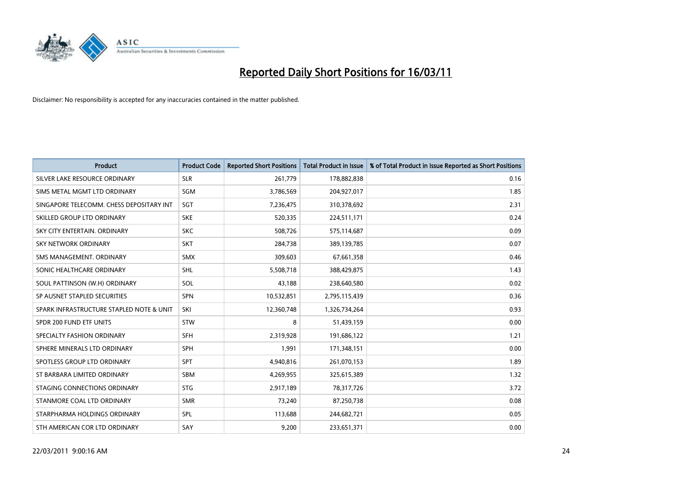

| <b>Product</b>                           | <b>Product Code</b> | <b>Reported Short Positions</b> | <b>Total Product in Issue</b> | % of Total Product in Issue Reported as Short Positions |
|------------------------------------------|---------------------|---------------------------------|-------------------------------|---------------------------------------------------------|
| SILVER LAKE RESOURCE ORDINARY            | <b>SLR</b>          | 261,779                         | 178,882,838                   | 0.16                                                    |
| SIMS METAL MGMT LTD ORDINARY             | <b>SGM</b>          | 3,786,569                       | 204,927,017                   | 1.85                                                    |
| SINGAPORE TELECOMM. CHESS DEPOSITARY INT | SGT                 | 7,236,475                       | 310,378,692                   | 2.31                                                    |
| SKILLED GROUP LTD ORDINARY               | <b>SKE</b>          | 520,335                         | 224,511,171                   | 0.24                                                    |
| SKY CITY ENTERTAIN, ORDINARY             | <b>SKC</b>          | 508,726                         | 575,114,687                   | 0.09                                                    |
| <b>SKY NETWORK ORDINARY</b>              | <b>SKT</b>          | 284,738                         | 389,139,785                   | 0.07                                                    |
| SMS MANAGEMENT, ORDINARY                 | <b>SMX</b>          | 309,603                         | 67,661,358                    | 0.46                                                    |
| SONIC HEALTHCARE ORDINARY                | <b>SHL</b>          | 5,508,718                       | 388,429,875                   | 1.43                                                    |
| SOUL PATTINSON (W.H) ORDINARY            | SOL                 | 43,188                          | 238,640,580                   | 0.02                                                    |
| SP AUSNET STAPLED SECURITIES             | <b>SPN</b>          | 10,532,851                      | 2,795,115,439                 | 0.36                                                    |
| SPARK INFRASTRUCTURE STAPLED NOTE & UNIT | SKI                 | 12,360,748                      | 1,326,734,264                 | 0.93                                                    |
| SPDR 200 FUND ETF UNITS                  | <b>STW</b>          | 8                               | 51,439,159                    | 0.00                                                    |
| SPECIALTY FASHION ORDINARY               | <b>SFH</b>          | 2,319,928                       | 191,686,122                   | 1.21                                                    |
| SPHERE MINERALS LTD ORDINARY             | <b>SPH</b>          | 1,991                           | 171,348,151                   | 0.00                                                    |
| SPOTLESS GROUP LTD ORDINARY              | <b>SPT</b>          | 4,940,816                       | 261,070,153                   | 1.89                                                    |
| ST BARBARA LIMITED ORDINARY              | <b>SBM</b>          | 4,269,955                       | 325,615,389                   | 1.32                                                    |
| STAGING CONNECTIONS ORDINARY             | <b>STG</b>          | 2,917,189                       | 78,317,726                    | 3.72                                                    |
| STANMORE COAL LTD ORDINARY               | <b>SMR</b>          | 73,240                          | 87,250,738                    | 0.08                                                    |
| STARPHARMA HOLDINGS ORDINARY             | SPL                 | 113,688                         | 244,682,721                   | 0.05                                                    |
| STH AMERICAN COR LTD ORDINARY            | SAY                 | 9,200                           | 233,651,371                   | 0.00                                                    |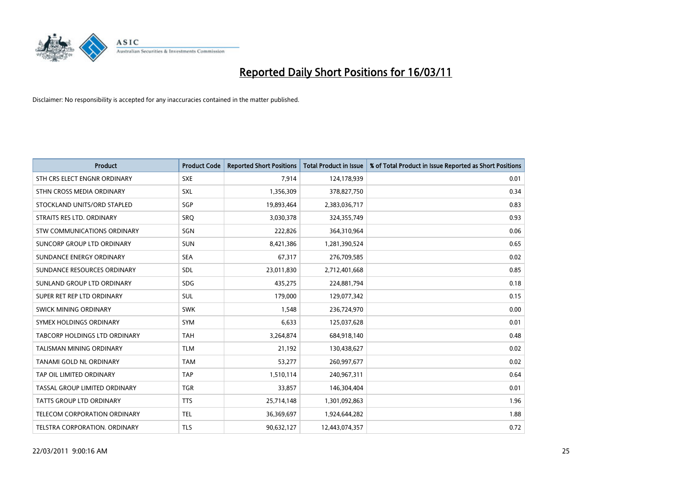

| <b>Product</b>                       | <b>Product Code</b> | <b>Reported Short Positions</b> | <b>Total Product in Issue</b> | % of Total Product in Issue Reported as Short Positions |
|--------------------------------------|---------------------|---------------------------------|-------------------------------|---------------------------------------------------------|
| STH CRS ELECT ENGNR ORDINARY         | <b>SXE</b>          | 7,914                           | 124,178,939                   | 0.01                                                    |
| STHN CROSS MEDIA ORDINARY            | SXL                 | 1,356,309                       | 378,827,750                   | 0.34                                                    |
| STOCKLAND UNITS/ORD STAPLED          | SGP                 | 19,893,464                      | 2,383,036,717                 | 0.83                                                    |
| STRAITS RES LTD. ORDINARY            | SRO                 | 3,030,378                       | 324,355,749                   | 0.93                                                    |
| <b>STW COMMUNICATIONS ORDINARY</b>   | SGN                 | 222,826                         | 364,310,964                   | 0.06                                                    |
| SUNCORP GROUP LTD ORDINARY           | <b>SUN</b>          | 8,421,386                       | 1,281,390,524                 | 0.65                                                    |
| SUNDANCE ENERGY ORDINARY             | <b>SEA</b>          | 67,317                          | 276,709,585                   | 0.02                                                    |
| SUNDANCE RESOURCES ORDINARY          | SDL                 | 23,011,830                      | 2,712,401,668                 | 0.85                                                    |
| SUNLAND GROUP LTD ORDINARY           | <b>SDG</b>          | 435,275                         | 224,881,794                   | 0.18                                                    |
| SUPER RET REP LTD ORDINARY           | SUL                 | 179,000                         | 129,077,342                   | 0.15                                                    |
| <b>SWICK MINING ORDINARY</b>         | <b>SWK</b>          | 1,548                           | 236,724,970                   | 0.00                                                    |
| SYMEX HOLDINGS ORDINARY              | <b>SYM</b>          | 6,633                           | 125,037,628                   | 0.01                                                    |
| <b>TABCORP HOLDINGS LTD ORDINARY</b> | <b>TAH</b>          | 3,264,874                       | 684,918,140                   | 0.48                                                    |
| <b>TALISMAN MINING ORDINARY</b>      | <b>TLM</b>          | 21,192                          | 130,438,627                   | 0.02                                                    |
| TANAMI GOLD NL ORDINARY              | <b>TAM</b>          | 53,277                          | 260,997,677                   | 0.02                                                    |
| TAP OIL LIMITED ORDINARY             | <b>TAP</b>          | 1,510,114                       | 240,967,311                   | 0.64                                                    |
| TASSAL GROUP LIMITED ORDINARY        | <b>TGR</b>          | 33,857                          | 146,304,404                   | 0.01                                                    |
| <b>TATTS GROUP LTD ORDINARY</b>      | <b>TTS</b>          | 25,714,148                      | 1,301,092,863                 | 1.96                                                    |
| TELECOM CORPORATION ORDINARY         | <b>TEL</b>          | 36,369,697                      | 1,924,644,282                 | 1.88                                                    |
| TELSTRA CORPORATION. ORDINARY        | <b>TLS</b>          | 90,632,127                      | 12,443,074,357                | 0.72                                                    |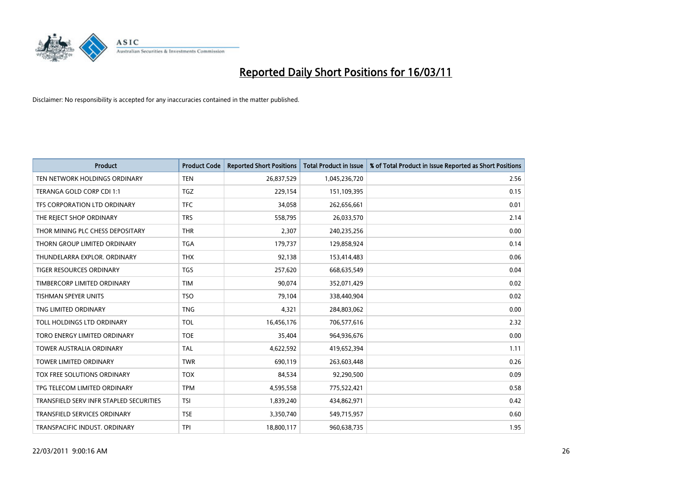

| <b>Product</b>                          | <b>Product Code</b> | <b>Reported Short Positions</b> | <b>Total Product in Issue</b> | % of Total Product in Issue Reported as Short Positions |
|-----------------------------------------|---------------------|---------------------------------|-------------------------------|---------------------------------------------------------|
| TEN NETWORK HOLDINGS ORDINARY           | <b>TEN</b>          | 26,837,529                      | 1,045,236,720                 | 2.56                                                    |
| TERANGA GOLD CORP CDI 1:1               | TGZ                 | 229,154                         | 151,109,395                   | 0.15                                                    |
| TFS CORPORATION LTD ORDINARY            | <b>TFC</b>          | 34,058                          | 262,656,661                   | 0.01                                                    |
| THE REJECT SHOP ORDINARY                | <b>TRS</b>          | 558,795                         | 26,033,570                    | 2.14                                                    |
| THOR MINING PLC CHESS DEPOSITARY        | <b>THR</b>          | 2,307                           | 240,235,256                   | 0.00                                                    |
| THORN GROUP LIMITED ORDINARY            | <b>TGA</b>          | 179,737                         | 129,858,924                   | 0.14                                                    |
| THUNDELARRA EXPLOR. ORDINARY            | <b>THX</b>          | 92.138                          | 153,414,483                   | 0.06                                                    |
| TIGER RESOURCES ORDINARY                | <b>TGS</b>          | 257,620                         | 668,635,549                   | 0.04                                                    |
| TIMBERCORP LIMITED ORDINARY             | <b>TIM</b>          | 90,074                          | 352,071,429                   | 0.02                                                    |
| <b>TISHMAN SPEYER UNITS</b>             | <b>TSO</b>          | 79,104                          | 338,440,904                   | 0.02                                                    |
| TNG LIMITED ORDINARY                    | <b>TNG</b>          | 4,321                           | 284,803,062                   | 0.00                                                    |
| TOLL HOLDINGS LTD ORDINARY              | <b>TOL</b>          | 16,456,176                      | 706,577,616                   | 2.32                                                    |
| TORO ENERGY LIMITED ORDINARY            | <b>TOE</b>          | 35,404                          | 964,936,676                   | 0.00                                                    |
| <b>TOWER AUSTRALIA ORDINARY</b>         | <b>TAL</b>          | 4,622,592                       | 419,652,394                   | 1.11                                                    |
| <b>TOWER LIMITED ORDINARY</b>           | <b>TWR</b>          | 690,119                         | 263,603,448                   | 0.26                                                    |
| TOX FREE SOLUTIONS ORDINARY             | <b>TOX</b>          | 84,534                          | 92,290,500                    | 0.09                                                    |
| TPG TELECOM LIMITED ORDINARY            | <b>TPM</b>          | 4,595,558                       | 775,522,421                   | 0.58                                                    |
| TRANSFIELD SERV INFR STAPLED SECURITIES | <b>TSI</b>          | 1,839,240                       | 434,862,971                   | 0.42                                                    |
| <b>TRANSFIELD SERVICES ORDINARY</b>     | <b>TSE</b>          | 3,350,740                       | 549,715,957                   | 0.60                                                    |
| TRANSPACIFIC INDUST, ORDINARY           | <b>TPI</b>          | 18,800,117                      | 960,638,735                   | 1.95                                                    |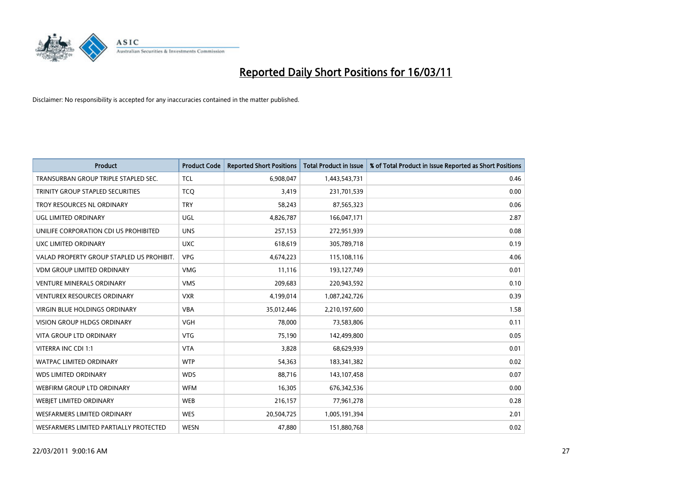

| <b>Product</b>                            | <b>Product Code</b> | <b>Reported Short Positions</b> | Total Product in Issue | % of Total Product in Issue Reported as Short Positions |
|-------------------------------------------|---------------------|---------------------------------|------------------------|---------------------------------------------------------|
| TRANSURBAN GROUP TRIPLE STAPLED SEC.      | <b>TCL</b>          | 6,908,047                       | 1,443,543,731          | 0.46                                                    |
| TRINITY GROUP STAPLED SECURITIES          | <b>TCO</b>          | 3,419                           | 231,701,539            | 0.00                                                    |
| TROY RESOURCES NL ORDINARY                | <b>TRY</b>          | 58,243                          | 87,565,323             | 0.06                                                    |
| UGL LIMITED ORDINARY                      | <b>UGL</b>          | 4,826,787                       | 166,047,171            | 2.87                                                    |
| UNILIFE CORPORATION CDI US PROHIBITED     | <b>UNS</b>          | 257,153                         | 272,951,939            | 0.08                                                    |
| UXC LIMITED ORDINARY                      | <b>UXC</b>          | 618,619                         | 305,789,718            | 0.19                                                    |
| VALAD PROPERTY GROUP STAPLED US PROHIBIT. | <b>VPG</b>          | 4,674,223                       | 115,108,116            | 4.06                                                    |
| <b>VDM GROUP LIMITED ORDINARY</b>         | <b>VMG</b>          | 11,116                          | 193,127,749            | 0.01                                                    |
| <b>VENTURE MINERALS ORDINARY</b>          | <b>VMS</b>          | 209,683                         | 220,943,592            | 0.10                                                    |
| <b>VENTUREX RESOURCES ORDINARY</b>        | <b>VXR</b>          | 4,199,014                       | 1,087,242,726          | 0.39                                                    |
| VIRGIN BLUE HOLDINGS ORDINARY             | <b>VBA</b>          | 35,012,446                      | 2,210,197,600          | 1.58                                                    |
| <b>VISION GROUP HLDGS ORDINARY</b>        | <b>VGH</b>          | 78,000                          | 73,583,806             | 0.11                                                    |
| <b>VITA GROUP LTD ORDINARY</b>            | <b>VTG</b>          | 75,190                          | 142,499,800            | 0.05                                                    |
| VITERRA INC CDI 1:1                       | <b>VTA</b>          | 3,828                           | 68,629,939             | 0.01                                                    |
| <b>WATPAC LIMITED ORDINARY</b>            | <b>WTP</b>          | 54,363                          | 183,341,382            | 0.02                                                    |
| <b>WDS LIMITED ORDINARY</b>               | <b>WDS</b>          | 88,716                          | 143,107,458            | 0.07                                                    |
| <b>WEBFIRM GROUP LTD ORDINARY</b>         | <b>WFM</b>          | 16,305                          | 676,342,536            | 0.00                                                    |
| WEBJET LIMITED ORDINARY                   | <b>WEB</b>          | 216,157                         | 77,961,278             | 0.28                                                    |
| WESFARMERS LIMITED ORDINARY               | <b>WES</b>          | 20,504,725                      | 1,005,191,394          | 2.01                                                    |
| WESFARMERS LIMITED PARTIALLY PROTECTED    | <b>WESN</b>         | 47,880                          | 151,880,768            | 0.02                                                    |